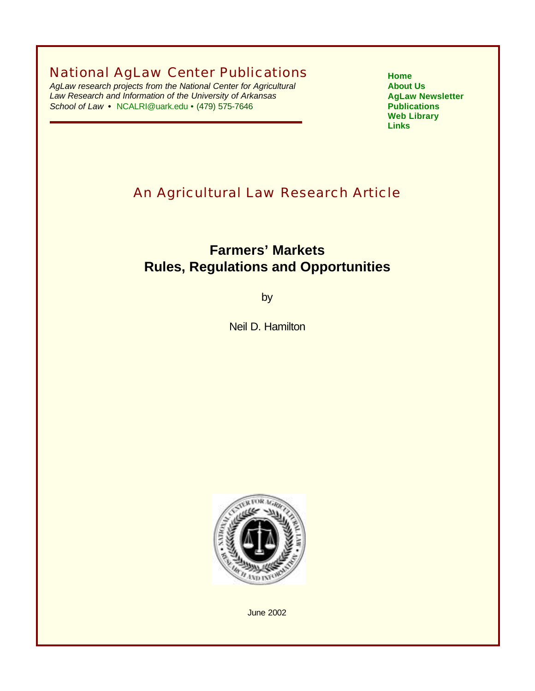National AgLaw Center Publications

*AgLaw research projects from the National Center for Agricultural Law Research and Information of the University of Arkansas School of Law* **•** NCALRI@uark.edu • (479) 575-7646

**[Home](http://www.nationalaglawcenter.org) [About Us](http://www.nationalaglawcenter.org/about/index.html) [AgLaw Newsletter](http://www.nationalaglawcenter.org/news/index.html) [Publications](http://www.nationalaglawcenter.org/publications/index.html) [Web Library](http://www.nationalaglawcenter.org/weblibrary.htm) [Links](http://www.nationalaglawcenter.org/links/index.html)**

# An Agricultural Law Research Article

# **Farmers' Markets Rules, Regulations and Opportunities**

by

Neil D. Hamilton



June 2002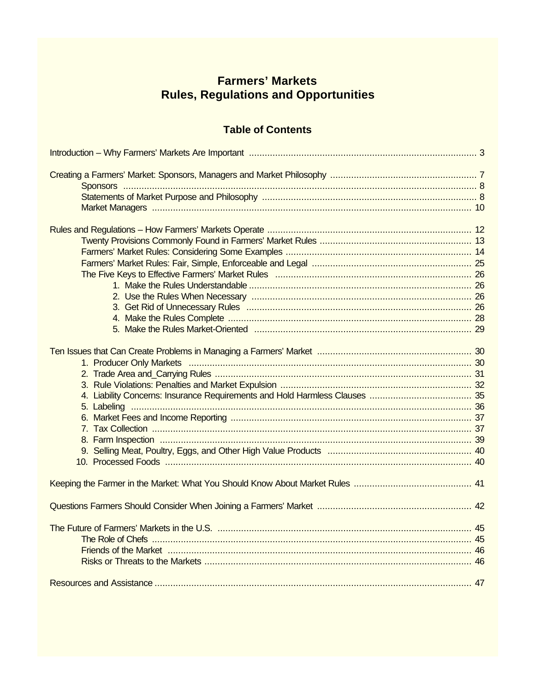# **Farmers' Markets Rules, Regulations and Opportunities**

# **Table of Contents**

| Friends of the Market material content and the Market and the Market and the Market material and the Market material and the Market material and the Market material and the Market material and the Market material and the M |  |
|--------------------------------------------------------------------------------------------------------------------------------------------------------------------------------------------------------------------------------|--|
|                                                                                                                                                                                                                                |  |
|                                                                                                                                                                                                                                |  |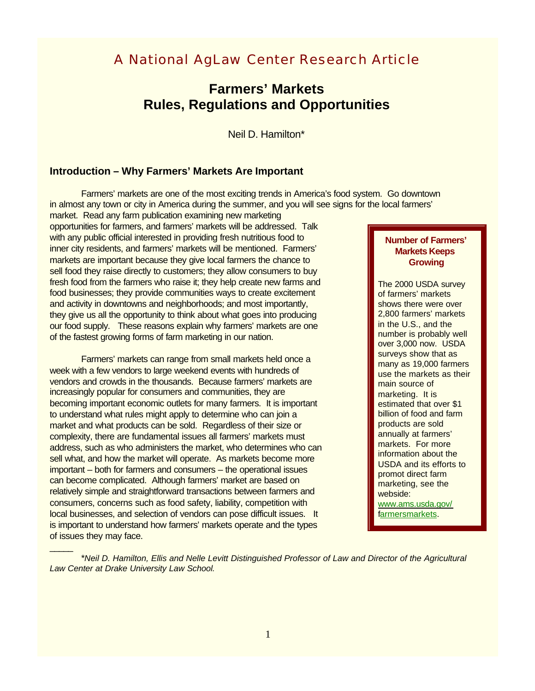# A National AgLaw Center Research Article

# **Farmers' Markets Rules, Regulations and Opportunities**

Neil D. Hamilton\*

# **Introduction – Why Farmers' Markets Are Important**

Farmers' markets are one of the most exciting trends in America's food system. Go downtown in almost any town or city in America during the summer, and you will see signs for the local farmers'

market. Read any farm publication examining new marketing opportunities for farmers, and farmers' markets will be addressed. Talk with any public official interested in providing fresh nutritious food to inner city residents, and farmers' markets will be mentioned. Farmers' markets are important because they give local farmers the chance to sell food they raise directly to customers; they allow consumers to buy fresh food from the farmers who raise it; they help create new farms and food businesses; they provide communities ways to create excitement and activity in downtowns and neighborhoods; and most importantly, they give us all the opportunity to think about what goes into producing our food supply. These reasons explain why farmers' markets are one of the fastest growing forms of farm marketing in our nation.

Farmers' markets can range from small markets held once a week with a few vendors to large weekend events with hundreds of vendors and crowds in the thousands. Because farmers' markets are increasingly popular for consumers and communities, they are becoming important economic outlets for many farmers. It is important to understand what rules might apply to determine who can join a market and what products can be sold. Regardless of their size or complexity, there are fundamental issues all farmers' markets must address, such as who administers the market, who determines who can sell what, and how the market will operate. As markets become more important – both for farmers and consumers – the operational issues can become complicated. Although farmers' market are based on relatively simple and straightforward transactions between farmers and consumers, concerns such as food safety, liability, competition with local businesses, and selection of vendors can pose difficult issues. It is important to understand how farmers' markets operate and the types of issues they may face.

 $\overline{\phantom{a}}$ 

## **Number of Farmers' Markets Keeps Growing**

The 2000 USDA survey of farmers' markets shows there were over 2,800 farmers' markets in the U.S., and the number is probably well over 3,000 now. USDA surveys show that as many as 19,000 farmers use the markets as their main source of marketing. It is estimated that over \$1 billion of food and farm products are sold annually at farmers' markets. For more information about the USDA and its efforts to promot direct farm marketing, see the webside:

www.ams.usda.gov/ farmersmarkets.

\**Neil D. Hamilton, Ellis and Nelle Levitt Distinguished Professor of Law and Director of the Agricultural Law Center at Drake University Law School.*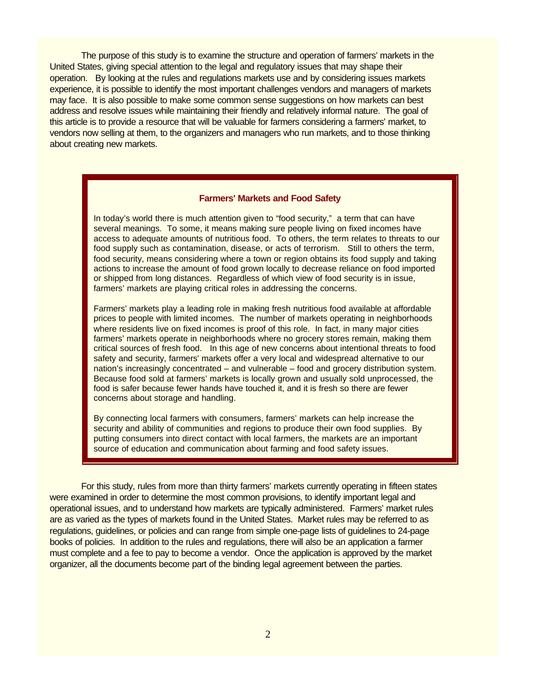The purpose of this study is to examine the structure and operation of farmers' markets in the United States, giving special attention to the legal and regulatory issues that may shape their operation. By looking at the rules and regulations markets use and by considering issues markets experience, it is possible to identify the most important challenges vendors and managers of markets may face. It is also possible to make some common sense suggestions on how markets can best address and resolve issues while maintaining their friendly and relatively informal nature. The goal of this article is to provide a resource that will be valuable for farmers considering a farmers' market, to vendors now selling at them, to the organizers and managers who run markets, and to those thinking about creating new markets.

#### **Farmers' Markets and Food Safety**

In today's world there is much attention given to "food security," a term that can have several meanings. To some, it means making sure people living on fixed incomes have access to adequate amounts of nutritious food. To others, the term relates to threats to our food supply such as contamination, disease, or acts of terrorism. Still to others the term, food security, means considering where a town or region obtains its food supply and taking actions to increase the amount of food grown locally to decrease reliance on food imported or shipped from long distances. Regardless of which view of food security is in issue, farmers' markets are playing critical roles in addressing the concerns.

Farmers' markets play a leading role in making fresh nutritious food available at affordable prices to people with limited incomes. The number of markets operating in neighborhoods where residents live on fixed incomes is proof of this role. In fact, in many major cities farmers' markets operate in neighborhoods where no grocery stores remain, making them critical sources of fresh food. In this age of new concerns about intentional threats to food safety and security, farmers' markets offer a very local and widespread alternative to our nation's increasingly concentrated – and vulnerable – food and grocery distribution system. Because food sold at farmers' markets is locally grown and usually sold unprocessed, the food is safer because fewer hands have touched it, and it is fresh so there are fewer concerns about storage and handling.

By connecting local farmers with consumers, farmers' markets can help increase the security and ability of communities and regions to produce their own food supplies. By putting consumers into direct contact with local farmers, the markets are an important source of education and communication about farming and food safety issues.

For this study, rules from more than thirty farmers' markets currently operating in fifteen states were examined in order to determine the most common provisions, to identify important legal and operational issues, and to understand how markets are typically administered. Farmers' market rules are as varied as the types of markets found in the United States. Market rules may be referred to as regulations, guidelines, or policies and can range from simple one-page lists of guidelines to 24-page books of policies. In addition to the rules and regulations, there will also be an application a farmer must complete and a fee to pay to become a vendor. Once the application is approved by the market organizer, all the documents become part of the binding legal agreement between the parties.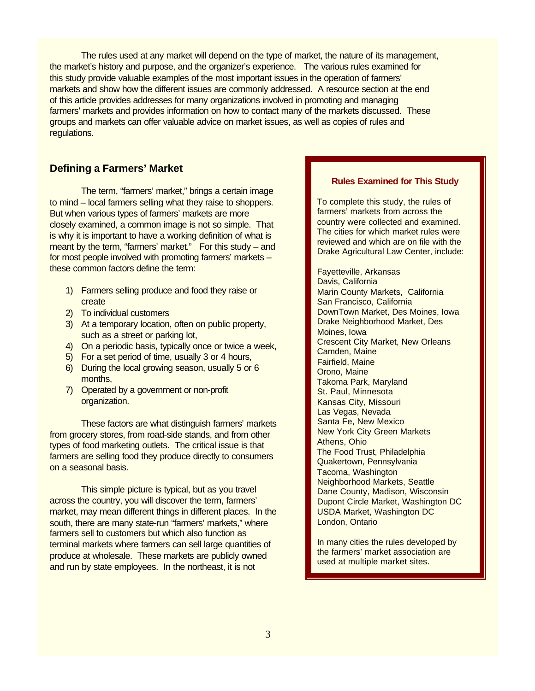The rules used at any market will depend on the type of market, the nature of its management, the market's history and purpose, and the organizer's experience. The various rules examined for this study provide valuable examples of the most important issues in the operation of farmers' markets and show how the different issues are commonly addressed. A resource section at the end of this article provides addresses for many organizations involved in promoting and managing farmers' markets and provides information on how to contact many of the markets discussed. These groups and markets can offer valuable advice on market issues, as well as copies of rules and regulations.

# **Defining a Farmers' Market**

The term, "farmers' market," brings a certain image to mind – local farmers selling what they raise to shoppers. But when various types of farmers' markets are more closely examined, a common image is not so simple. That is why it is important to have a working definition of what is meant by the term, "farmers' market." For this study – and for most people involved with promoting farmers' markets – these common factors define the term:

- 1) Farmers selling produce and food they raise or create
- 2) To individual customers
- 3) At a temporary location, often on public property, such as a street or parking lot,
- 4) On a periodic basis, typically once or twice a week,
- 5) For a set period of time, usually 3 or 4 hours,
- 6) During the local growing season, usually 5 or 6 months,
- 7) Operated by a government or non-profit organization.

These factors are what distinguish farmers' markets from grocery stores, from road-side stands, and from other types of food marketing outlets. The critical issue is that farmers are selling food they produce directly to consumers on a seasonal basis.

This simple picture is typical, but as you travel across the country, you will discover the term, farmers' market, may mean different things in different places. In the south, there are many state-run "farmers' markets," where farmers sell to customers but which also function as terminal markets where farmers can sell large quantities of produce at wholesale. These markets are publicly owned and run by state employees. In the northeast, it is not

## **Rules Examined for This Study**

To complete this study, the rules of farmers' markets from across the country were collected and examined. The cities for which market rules were reviewed and which are on file with the Drake Agricultural Law Center, include:

Fayetteville, Arkansas Davis, California Marin County Markets, California San Francisco, California DownTown Market, Des Moines, Iowa Drake Neighborhood Market, Des Moines, Iowa Crescent City Market, New Orleans Camden, Maine Fairfield, Maine Orono, Maine Takoma Park, Maryland St. Paul, Minnesota Kansas City, Missouri Las Vegas, Nevada Santa Fe, New Mexico New York City Green Markets Athens, Ohio The Food Trust, Philadelphia Quakertown, Pennsylvania Tacoma, Washington Neighborhood Markets, Seattle Dane County, Madison, Wisconsin Dupont Circle Market, Washington DC USDA Market, Washington DC London, Ontario

In many cities the rules developed by the farmers' market association are used at multiple market sites.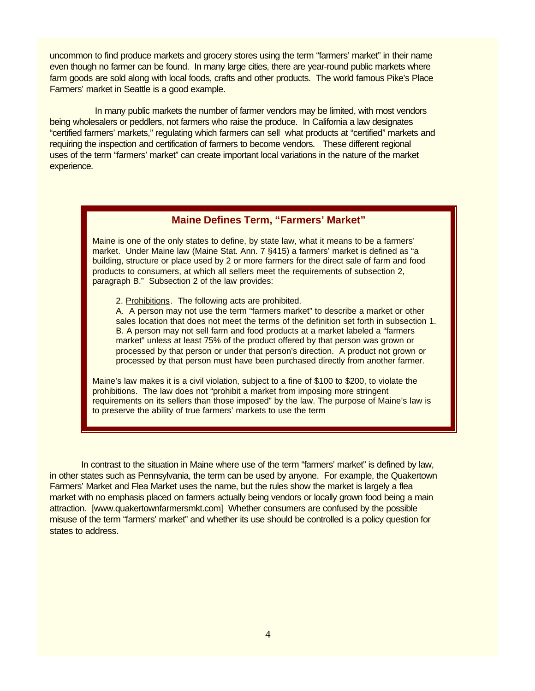uncommon to find produce markets and grocery stores using the term "farmers' market" in their name even though no farmer can be found. In many large cities, there are year-round public markets where farm goods are sold along with local foods, crafts and other products. The world famous Pike's Place Farmers' market in Seattle is a good example.

 In many public markets the number of farmer vendors may be limited, with most vendors being wholesalers or peddlers, not farmers who raise the produce. In California a law designates "certified farmers' markets," regulating which farmers can sell what products at "certified" markets and requiring the inspection and certification of farmers to become vendors. These different regional uses of the term "farmers' market" can create important local variations in the nature of the market experience.

## **Maine Defines Term, "Farmers' Market"**

Maine is one of the only states to define, by state law, what it means to be a farmers' market. Under Maine law (Maine Stat. Ann. 7 §415) a farmers' market is defined as "a building, structure or place used by 2 or more farmers for the direct sale of farm and food products to consumers, at which all sellers meet the requirements of subsection 2, paragraph B." Subsection 2 of the law provides:

2. Prohibitions. The following acts are prohibited.

A. A person may not use the term "farmers market" to describe a market or other sales location that does not meet the terms of the definition set forth in subsection 1. B. A person may not sell farm and food products at a market labeled a "farmers market" unless at least 75% of the product offered by that person was grown or processed by that person or under that person's direction. A product not grown or processed by that person must have been purchased directly from another farmer.

Maine's law makes it is a civil violation, subject to a fine of \$100 to \$200, to violate the prohibitions. The law does not "prohibit a market from imposing more stringent requirements on its sellers than those imposed" by the law. The purpose of Maine's law is to preserve the ability of true farmers' markets to use the term

In contrast to the situation in Maine where use of the term "farmers' market" is defined by law, in other states such as Pennsylvania, the term can be used by anyone. For example, the Quakertown Farmers' Market and Flea Market uses the name, but the rules show the market is largely a flea market with no emphasis placed on farmers actually being vendors or locally grown food being a main attraction. [www.quakertownfarmersmkt.com] Whether consumers are confused by the possible misuse of the term "farmers' market" and whether its use should be controlled is a policy question for states to address.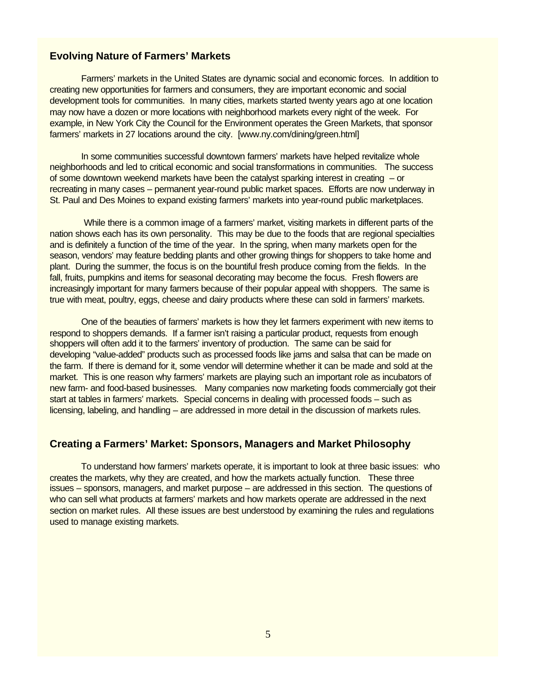## **Evolving Nature of Farmers' Markets**

Farmers' markets in the United States are dynamic social and economic forces. In addition to creating new opportunities for farmers and consumers, they are important economic and social development tools for communities. In many cities, markets started twenty years ago at one location may now have a dozen or more locations with neighborhood markets every night of the week. For example, in New York City the Council for the Environment operates the Green Markets, that sponsor farmers' markets in 27 locations around the city. [www.ny.com/dining/green.html]

In some communities successful downtown farmers' markets have helped revitalize whole neighborhoods and led to critical economic and social transformations in communities. The success of some downtown weekend markets have been the catalyst sparking interest in creating – or recreating in many cases – permanent year-round public market spaces. Efforts are now underway in St. Paul and Des Moines to expand existing farmers' markets into year-round public marketplaces.

 While there is a common image of a farmers' market, visiting markets in different parts of the nation shows each has its own personality. This may be due to the foods that are regional specialties and is definitely a function of the time of the year. In the spring, when many markets open for the season, vendors' may feature bedding plants and other growing things for shoppers to take home and plant. During the summer, the focus is on the bountiful fresh produce coming from the fields. In the fall, fruits, pumpkins and items for seasonal decorating may become the focus. Fresh flowers are increasingly important for many farmers because of their popular appeal with shoppers. The same is true with meat, poultry, eggs, cheese and dairy products where these can sold in farmers' markets.

One of the beauties of farmers' markets is how they let farmers experiment with new items to respond to shoppers demands. If a farmer isn't raising a particular product, requests from enough shoppers will often add it to the farmers' inventory of production. The same can be said for developing "value-added" products such as processed foods like jams and salsa that can be made on the farm. If there is demand for it, some vendor will determine whether it can be made and sold at the market. This is one reason why farmers' markets are playing such an important role as incubators of new farm- and food-based businesses. Many companies now marketing foods commercially got their start at tables in farmers' markets. Special concerns in dealing with processed foods – such as licensing, labeling, and handling – are addressed in more detail in the discussion of markets rules.

# **Creating a Farmers' Market: Sponsors, Managers and Market Philosophy**

To understand how farmers' markets operate, it is important to look at three basic issues: who creates the markets, why they are created, and how the markets actually function. These three issues – sponsors, managers, and market purpose – are addressed in this section. The questions of who can sell what products at farmers' markets and how markets operate are addressed in the next section on market rules. All these issues are best understood by examining the rules and regulations used to manage existing markets.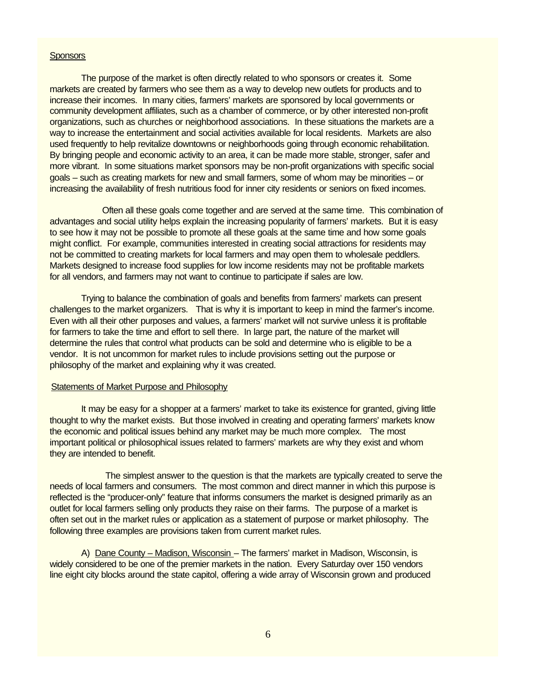#### **Sponsors**

The purpose of the market is often directly related to who sponsors or creates it. Some markets are created by farmers who see them as a way to develop new outlets for products and to increase their incomes. In many cities, farmers' markets are sponsored by local governments or community development affiliates, such as a chamber of commerce, or by other interested non-profit organizations, such as churches or neighborhood associations. In these situations the markets are a way to increase the entertainment and social activities available for local residents. Markets are also used frequently to help revitalize downtowns or neighborhoods going through economic rehabilitation. By bringing people and economic activity to an area, it can be made more stable, stronger, safer and more vibrant. In some situations market sponsors may be non-profit organizations with specific social goals – such as creating markets for new and small farmers, some of whom may be minorities – or increasing the availability of fresh nutritious food for inner city residents or seniors on fixed incomes.

 Often all these goals come together and are served at the same time. This combination of advantages and social utility helps explain the increasing popularity of farmers' markets. But it is easy to see how it may not be possible to promote all these goals at the same time and how some goals might conflict. For example, communities interested in creating social attractions for residents may not be committed to creating markets for local farmers and may open them to wholesale peddlers. Markets designed to increase food supplies for low income residents may not be profitable markets for all vendors, and farmers may not want to continue to participate if sales are low.

Trying to balance the combination of goals and benefits from farmers' markets can present challenges to the market organizers. That is why it is important to keep in mind the farmer's income. Even with all their other purposes and values, a farmers' market will not survive unless it is profitable for farmers to take the time and effort to sell there. In large part, the nature of the market will determine the rules that control what products can be sold and determine who is eligible to be a vendor. It is not uncommon for market rules to include provisions setting out the purpose or philosophy of the market and explaining why it was created.

#### Statements of Market Purpose and Philosophy

It may be easy for a shopper at a farmers' market to take its existence for granted, giving little thought to why the market exists. But those involved in creating and operating farmers' markets know the economic and political issues behind any market may be much more complex. The most important political or philosophical issues related to farmers' markets are why they exist and whom they are intended to benefit.

 The simplest answer to the question is that the markets are typically created to serve the needs of local farmers and consumers. The most common and direct manner in which this purpose is reflected is the "producer-only" feature that informs consumers the market is designed primarily as an outlet for local farmers selling only products they raise on their farms. The purpose of a market is often set out in the market rules or application as a statement of purpose or market philosophy. The following three examples are provisions taken from current market rules.

A) Dane County – Madison, Wisconsin – The farmers' market in Madison, Wisconsin, is widely considered to be one of the premier markets in the nation. Every Saturday over 150 vendors line eight city blocks around the state capitol, offering a wide array of Wisconsin grown and produced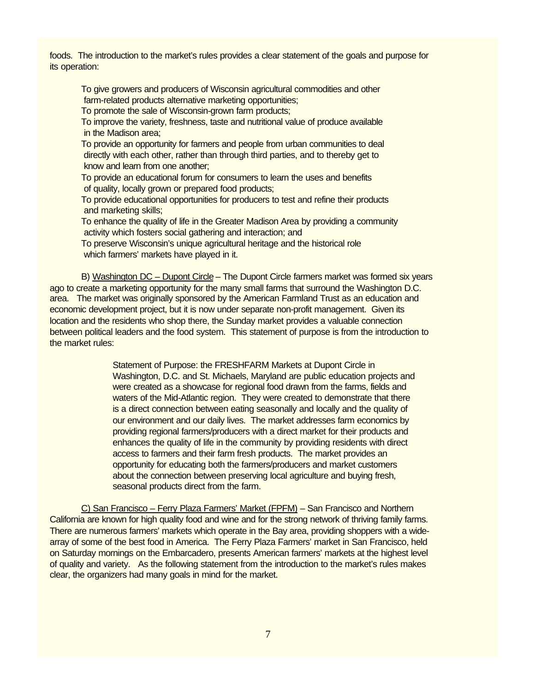foods. The introduction to the market's rules provides a clear statement of the goals and purpose for its operation:

To give growers and producers of Wisconsin agricultural commodities and other farm-related products alternative marketing opportunities;

To promote the sale of Wisconsin-grown farm products;

To improve the variety, freshness, taste and nutritional value of produce available in the Madison area;

To provide an opportunity for farmers and people from urban communities to deal directly with each other, rather than through third parties, and to thereby get to know and learn from one another;

To provide an educational forum for consumers to learn the uses and benefits of quality, locally grown or prepared food products;

To provide educational opportunities for producers to test and refine their products and marketing skills;

To enhance the quality of life in the Greater Madison Area by providing a community activity which fosters social gathering and interaction; and

To preserve Wisconsin's unique agricultural heritage and the historical role which farmers' markets have played in it.

B) Washington DC – Dupont Circle – The Dupont Circle farmers market was formed six years ago to create a marketing opportunity for the many small farms that surround the Washington D.C. area. The market was originally sponsored by the American Farmland Trust as an education and economic development project, but it is now under separate non-profit management. Given its location and the residents who shop there, the Sunday market provides a valuable connection between political leaders and the food system. This statement of purpose is from the introduction to the market rules:

> Statement of Purpose: the FRESHFARM Markets at Dupont Circle in Washington, D.C. and St. Michaels, Maryland are public education projects and were created as a showcase for regional food drawn from the farms, fields and waters of the Mid-Atlantic region. They were created to demonstrate that there is a direct connection between eating seasonally and locally and the quality of our environment and our daily lives. The market addresses farm economics by providing regional farmers/producers with a direct market for their products and enhances the quality of life in the community by providing residents with direct access to farmers and their farm fresh products. The market provides an opportunity for educating both the farmers/producers and market customers about the connection between preserving local agriculture and buying fresh, seasonal products direct from the farm.

C) San Francisco – Ferry Plaza Farmers' Market (FPFM) – San Francisco and Northern California are known for high quality food and wine and for the strong network of thriving family farms. There are numerous farmers' markets which operate in the Bay area, providing shoppers with a widearray of some of the best food in America. The Ferry Plaza Farmers' market in San Francisco, held on Saturday mornings on the Embarcadero, presents American farmers' markets at the highest level of quality and variety. As the following statement from the introduction to the market's rules makes clear, the organizers had many goals in mind for the market.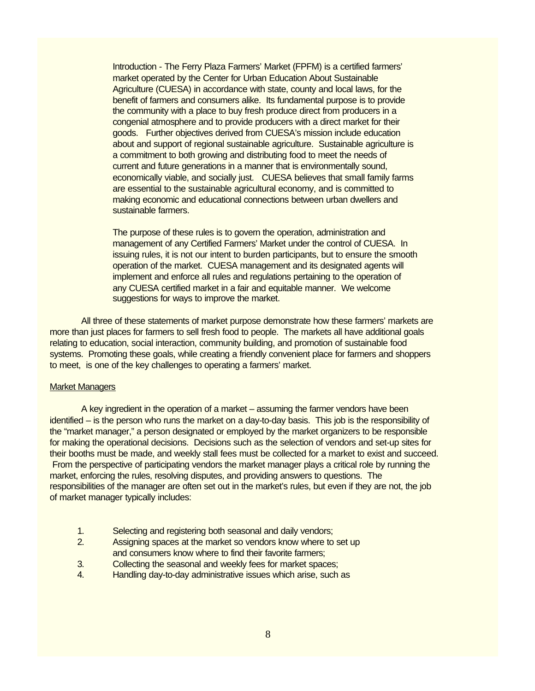Introduction - The Ferry Plaza Farmers' Market (FPFM) is a certified farmers' market operated by the Center for Urban Education About Sustainable Agriculture (CUESA) in accordance with state, county and local laws, for the benefit of farmers and consumers alike. Its fundamental purpose is to provide the community with a place to buy fresh produce direct from producers in a congenial atmosphere and to provide producers with a direct market for their goods. Further objectives derived from CUESA's mission include education about and support of regional sustainable agriculture. Sustainable agriculture is a commitment to both growing and distributing food to meet the needs of current and future generations in a manner that is environmentally sound, economically viable, and socially just. CUESA believes that small family farms are essential to the sustainable agricultural economy, and is committed to making economic and educational connections between urban dwellers and sustainable farmers.

The purpose of these rules is to govern the operation, administration and management of any Certified Farmers' Market under the control of CUESA. In issuing rules, it is not our intent to burden participants, but to ensure the smooth operation of the market. CUESA management and its designated agents will implement and enforce all rules and regulations pertaining to the operation of any CUESA certified market in a fair and equitable manner. We welcome suggestions for ways to improve the market.

All three of these statements of market purpose demonstrate how these farmers' markets are more than just places for farmers to sell fresh food to people. The markets all have additional goals relating to education, social interaction, community building, and promotion of sustainable food systems. Promoting these goals, while creating a friendly convenient place for farmers and shoppers to meet, is one of the key challenges to operating a farmers' market.

#### Market Managers

A key ingredient in the operation of a market – assuming the farmer vendors have been identified – is the person who runs the market on a day-to-day basis. This job is the responsibility of the "market manager," a person designated or employed by the market organizers to be responsible for making the operational decisions. Decisions such as the selection of vendors and set-up sites for their booths must be made, and weekly stall fees must be collected for a market to exist and succeed. From the perspective of participating vendors the market manager plays a critical role by running the market, enforcing the rules, resolving disputes, and providing answers to questions. The responsibilities of the manager are often set out in the market's rules, but even if they are not, the job of market manager typically includes:

- 1. Selecting and registering both seasonal and daily vendors;
- 2. Assigning spaces at the market so vendors know where to set up and consumers know where to find their favorite farmers;
- 3. Collecting the seasonal and weekly fees for market spaces;
- 4. Handling day-to-day administrative issues which arise, such as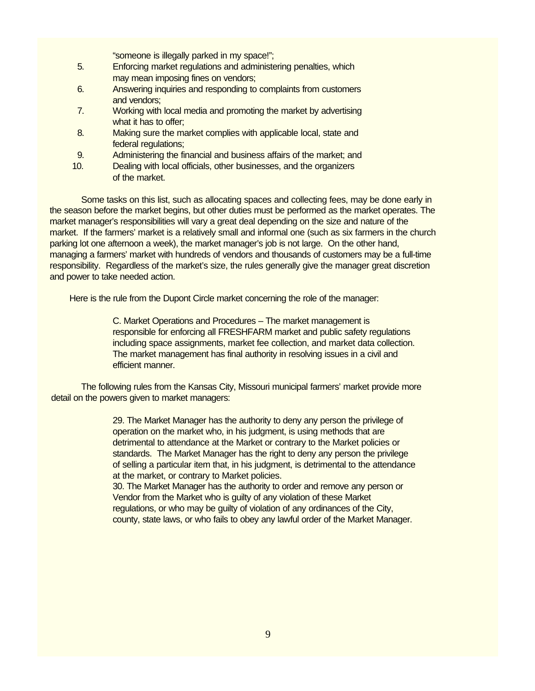- "someone is illegally parked in my space!";
- 5. Enforcing market regulations and administering penalties, which may mean imposing fines on vendors;
- 6. Answering inquiries and responding to complaints from customers and vendors;
- 7. Working with local media and promoting the market by advertising what it has to offer:
- 8. Making sure the market complies with applicable local, state and federal regulations;
- 9. Administering the financial and business affairs of the market; and
- 10. Dealing with local officials, other businesses, and the organizers of the market.

Some tasks on this list, such as allocating spaces and collecting fees, may be done early in the season before the market begins, but other duties must be performed as the market operates. The market manager's responsibilities will vary a great deal depending on the size and nature of the market. If the farmers' market is a relatively small and informal one (such as six farmers in the church parking lot one afternoon a week), the market manager's job is not large. On the other hand, managing a farmers' market with hundreds of vendors and thousands of customers may be a full-time responsibility. Regardless of the market's size, the rules generally give the manager great discretion and power to take needed action.

Here is the rule from the Dupont Circle market concerning the role of the manager:

C. Market Operations and Procedures – The market management is responsible for enforcing all FRESHFARM market and public safety regulations including space assignments, market fee collection, and market data collection. The market management has final authority in resolving issues in a civil and efficient manner.

The following rules from the Kansas City, Missouri municipal farmers' market provide more detail on the powers given to market managers:

> 29. The Market Manager has the authority to deny any person the privilege of operation on the market who, in his judgment, is using methods that are detrimental to attendance at the Market or contrary to the Market policies or standards. The Market Manager has the right to deny any person the privilege of selling a particular item that, in his judgment, is detrimental to the attendance at the market, or contrary to Market policies.

30. The Market Manager has the authority to order and remove any person or Vendor from the Market who is guilty of any violation of these Market regulations, or who may be guilty of violation of any ordinances of the City, county, state laws, or who fails to obey any lawful order of the Market Manager.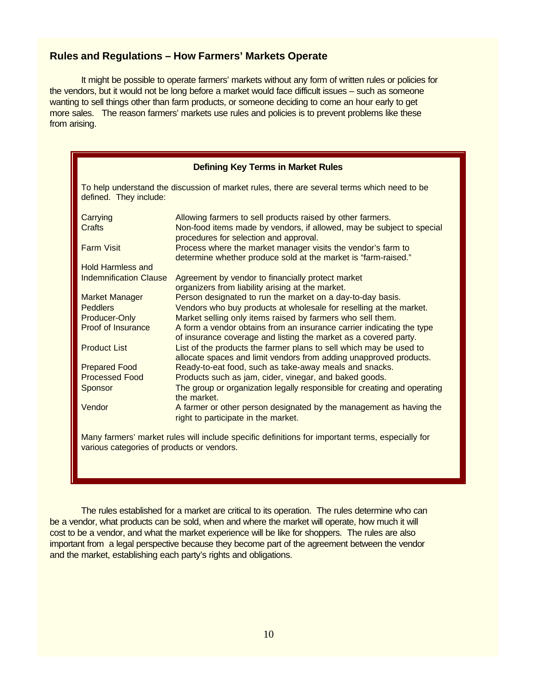# **Rules and Regulations – How Farmers' Markets Operate**

It might be possible to operate farmers' markets without any form of written rules or policies for the vendors, but it would not be long before a market would face difficult issues – such as someone wanting to sell things other than farm products, or someone deciding to come an hour early to get more sales. The reason farmers' markets use rules and policies is to prevent problems like these from arising.

| <b>Defining Key Terms in Market Rules</b>                                                                                                      |                                                                                                                                                                               |  |
|------------------------------------------------------------------------------------------------------------------------------------------------|-------------------------------------------------------------------------------------------------------------------------------------------------------------------------------|--|
| To help understand the discussion of market rules, there are several terms which need to be<br>defined. They include:                          |                                                                                                                                                                               |  |
| Carrying<br>Crafts                                                                                                                             | Allowing farmers to sell products raised by other farmers.<br>Non-food items made by vendors, if allowed, may be subject to special<br>procedures for selection and approval. |  |
| <b>Farm Visit</b>                                                                                                                              | Process where the market manager visits the vendor's farm to<br>determine whether produce sold at the market is "farm-raised."                                                |  |
| <b>Hold Harmless and</b>                                                                                                                       |                                                                                                                                                                               |  |
| <b>Indemnification Clause</b>                                                                                                                  | Agreement by vendor to financially protect market<br>organizers from liability arising at the market.                                                                         |  |
| <b>Market Manager</b>                                                                                                                          | Person designated to run the market on a day-to-day basis.                                                                                                                    |  |
| <b>Peddlers</b>                                                                                                                                | Vendors who buy products at wholesale for reselling at the market.                                                                                                            |  |
| Producer-Only                                                                                                                                  | Market selling only items raised by farmers who sell them.                                                                                                                    |  |
| Proof of Insurance                                                                                                                             | A form a vendor obtains from an insurance carrier indicating the type<br>of insurance coverage and listing the market as a covered party.                                     |  |
| <b>Product List</b>                                                                                                                            | List of the products the farmer plans to sell which may be used to<br>allocate spaces and limit vendors from adding unapproved products.                                      |  |
| <b>Prepared Food</b>                                                                                                                           | Ready-to-eat food, such as take-away meals and snacks.                                                                                                                        |  |
| <b>Processed Food</b>                                                                                                                          | Products such as jam, cider, vinegar, and baked goods.                                                                                                                        |  |
| Sponsor                                                                                                                                        | The group or organization legally responsible for creating and operating<br>the market.                                                                                       |  |
| Vendor                                                                                                                                         | A farmer or other person designated by the management as having the<br>right to participate in the market.                                                                    |  |
| Many farmers' market rules will include specific definitions for important terms, especially for<br>various categories of products or vendors. |                                                                                                                                                                               |  |

The rules established for a market are critical to its operation. The rules determine who can be a vendor, what products can be sold, when and where the market will operate, how much it will cost to be a vendor, and what the market experience will be like for shoppers. The rules are also important from a legal perspective because they become part of the agreement between the vendor and the market, establishing each party's rights and obligations.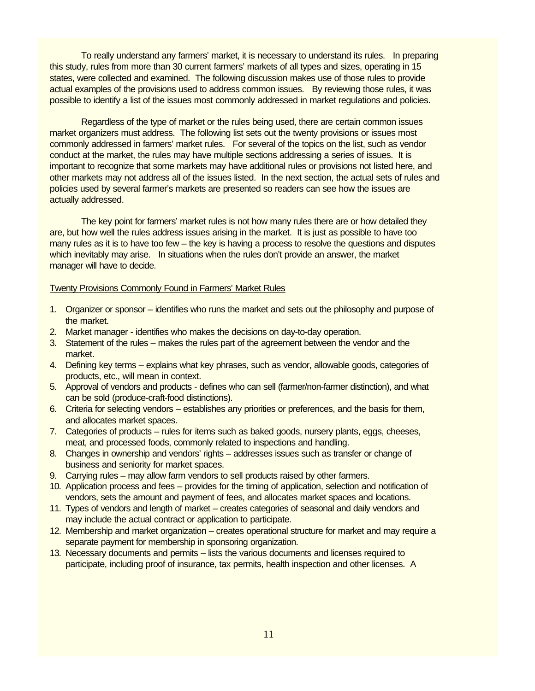To really understand any farmers' market, it is necessary to understand its rules. In preparing this study, rules from more than 30 current farmers' markets of all types and sizes, operating in 15 states, were collected and examined. The following discussion makes use of those rules to provide actual examples of the provisions used to address common issues. By reviewing those rules, it was possible to identify a list of the issues most commonly addressed in market regulations and policies.

Regardless of the type of market or the rules being used, there are certain common issues market organizers must address. The following list sets out the twenty provisions or issues most commonly addressed in farmers' market rules. For several of the topics on the list, such as vendor conduct at the market, the rules may have multiple sections addressing a series of issues. It is important to recognize that some markets may have additional rules or provisions not listed here, and other markets may not address all of the issues listed. In the next section, the actual sets of rules and policies used by several farmer's markets are presented so readers can see how the issues are actually addressed.

The key point for farmers' market rules is not how many rules there are or how detailed they are, but how well the rules address issues arising in the market. It is just as possible to have too many rules as it is to have too few – the key is having a process to resolve the questions and disputes which inevitably may arise. In situations when the rules don't provide an answer, the market manager will have to decide.

#### Twenty Provisions Commonly Found in Farmers' Market Rules

- 1. Organizer or sponsor identifies who runs the market and sets out the philosophy and purpose of the market.
- 2. Market manager identifies who makes the decisions on day-to-day operation.
- 3. Statement of the rules makes the rules part of the agreement between the vendor and the market.
- 4. Defining key terms explains what key phrases, such as vendor, allowable goods, categories of products, etc., will mean in context.
- 5. Approval of vendors and products defines who can sell (farmer/non-farmer distinction), and what can be sold (produce-craft-food distinctions).
- 6. Criteria for selecting vendors establishes any priorities or preferences, and the basis for them, and allocates market spaces.
- 7. Categories of products rules for items such as baked goods, nursery plants, eggs, cheeses, meat, and processed foods, commonly related to inspections and handling.
- 8. Changes in ownership and vendors' rights addresses issues such as transfer or change of business and seniority for market spaces.
- 9. Carrying rules may allow farm vendors to sell products raised by other farmers.
- 10. Application process and fees provides for the timing of application, selection and notification of vendors, sets the amount and payment of fees, and allocates market spaces and locations.
- 11. Types of vendors and length of market creates categories of seasonal and daily vendors and may include the actual contract or application to participate.
- 12. Membership and market organization creates operational structure for market and may require a separate payment for membership in sponsoring organization.
- 13. Necessary documents and permits lists the various documents and licenses required to participate, including proof of insurance, tax permits, health inspection and other licenses. A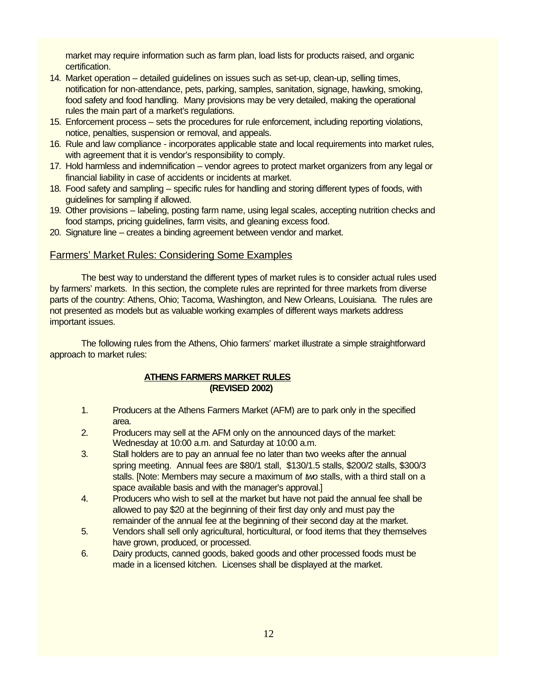market may require information such as farm plan, load lists for products raised, and organic certification.

- 14. Market operation detailed guidelines on issues such as set-up, clean-up, selling times, notification for non-attendance, pets, parking, samples, sanitation, signage, hawking, smoking, food safety and food handling. Many provisions may be very detailed, making the operational rules the main part of a market's regulations.
- 15. Enforcement process sets the procedures for rule enforcement, including reporting violations, notice, penalties, suspension or removal, and appeals.
- 16. Rule and law compliance incorporates applicable state and local requirements into market rules, with agreement that it is vendor's responsibility to comply.
- 17. Hold harmless and indemnification vendor agrees to protect market organizers from any legal or financial liability in case of accidents or incidents at market.
- 18. Food safety and sampling specific rules for handling and storing different types of foods, with guidelines for sampling if allowed.
- 19. Other provisions labeling, posting farm name, using legal scales, accepting nutrition checks and food stamps, pricing guidelines, farm visits, and gleaning excess food.
- 20. Signature line creates a binding agreement between vendor and market.

# Farmers' Market Rules: Considering Some Examples

The best way to understand the different types of market rules is to consider actual rules used by farmers' markets. In this section, the complete rules are reprinted for three markets from diverse parts of the country: Athens, Ohio; Tacoma, Washington, and New Orleans, Louisiana. The rules are not presented as models but as valuable working examples of different ways markets address important issues.

The following rules from the Athens, Ohio farmers' market illustrate a simple straightforward approach to market rules:

# **ATHENS FARMERS MARKET RULES (REVISED 2002)**

- 1. Producers at the Athens Farmers Market (AFM) are to park only in the specified area.
- 2. Producers may sell at the AFM only on the announced days of the market: Wednesday at 10:00 a.m. and Saturday at 10:00 a.m.
- 3. Stall holders are to pay an annual fee no later than two weeks after the annual spring meeting. Annual fees are \$80/1 stall, \$130/1.5 stalls, \$200/2 stalls, \$300/3 stalls. [Note: Members may secure a maximum of *two* stalls, with a third stall on a space available basis and with the manager's approval.]
- 4. Producers who wish to sell at the market but have not paid the annual fee shall be allowed to pay \$20 at the beginning of their first day only and must pay the remainder of the annual fee at the beginning of their second day at the market.
- 5. Vendors shall sell only agricultural, horticultural, or food items that they themselves have grown, produced, or processed.
- 6. Dairy products, canned goods, baked goods and other processed foods must be made in a licensed kitchen. Licenses shall be displayed at the market.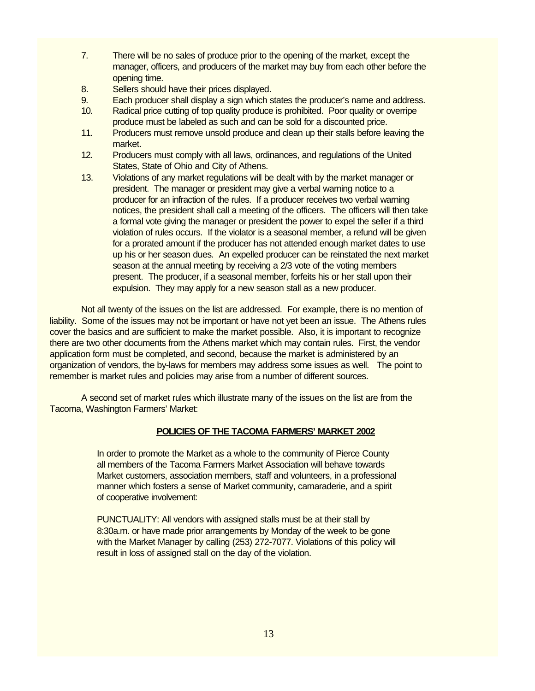- 7. There will be no sales of produce prior to the opening of the market, except the manager, officers, and producers of the market may buy from each other before the opening time.
- 8. Sellers should have their prices displayed.
- 9. Each producer shall display a sign which states the producer's name and address.
- 10. Radical price cutting of top quality produce is prohibited. Poor quality or overripe produce must be labeled as such and can be sold for a discounted price.
- 11. Producers must remove unsold produce and clean up their stalls before leaving the market.
- 12. Producers must comply with all laws, ordinances, and regulations of the United States, State of Ohio and City of Athens.
- 13. Violations of any market regulations will be dealt with by the market manager or president. The manager or president may give a verbal warning notice to a producer for an infraction of the rules. If a producer receives two verbal warning notices, the president shall call a meeting of the officers. The officers will then take a formal vote giving the manager or president the power to expel the seller if a third violation of rules occurs. If the violator is a seasonal member, a refund will be given for a prorated amount if the producer has not attended enough market dates to use up his or her season dues. An expelled producer can be reinstated the next market season at the annual meeting by receiving a 2/3 vote of the voting members present. The producer, if a seasonal member, forfeits his or her stall upon their expulsion. They may apply for a new season stall as a new producer.

Not all twenty of the issues on the list are addressed. For example, there is no mention of liability. Some of the issues may not be important or have not yet been an issue. The Athens rules cover the basics and are sufficient to make the market possible. Also, it is important to recognize there are two other documents from the Athens market which may contain rules. First, the vendor application form must be completed, and second, because the market is administered by an organization of vendors, the by-laws for members may address some issues as well. The point to remember is market rules and policies may arise from a number of different sources.

A second set of market rules which illustrate many of the issues on the list are from the Tacoma, Washington Farmers' Market:

## **POLICIES OF THE TACOMA FARMERS' MARKET 2002**

In order to promote the Market as a whole to the community of Pierce County all members of the Tacoma Farmers Market Association will behave towards Market customers, association members, staff and volunteers, in a professional manner which fosters a sense of Market community, camaraderie, and a spirit of cooperative involvement:

PUNCTUALITY: All vendors with assigned stalls must be at their stall by 8:30a.m. or have made prior arrangements by Monday of the week to be gone with the Market Manager by calling (253) 272-7077. Violations of this policy will result in loss of assigned stall on the day of the violation.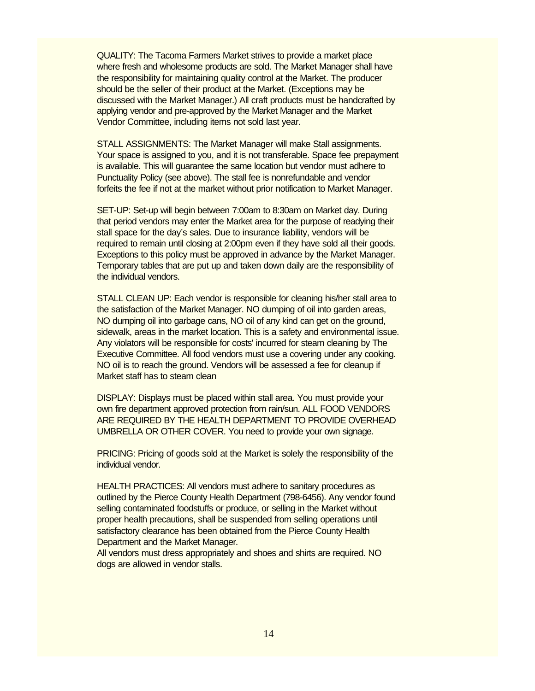QUALITY: The Tacoma Farmers Market strives to provide a market place where fresh and wholesome products are sold. The Market Manager shall have the responsibility for maintaining quality control at the Market. The producer should be the seller of their product at the Market. (Exceptions may be discussed with the Market Manager.) All craft products must be handcrafted by applying vendor and pre-approved by the Market Manager and the Market Vendor Committee, including items not sold last year.

STALL ASSIGNMENTS: The Market Manager will make Stall assignments. Your space is assigned to you, and it is not transferable. Space fee prepayment is available. This will guarantee the same location but vendor must adhere to Punctuality Policy (see above). The stall fee is nonrefundable and vendor forfeits the fee if not at the market without prior notification to Market Manager.

SET-UP: Set-up will begin between 7:00am to 8:30am on Market day. During that period vendors may enter the Market area for the purpose of readying their stall space for the day's sales. Due to insurance liability, vendors will be required to remain until closing at 2:00pm even if they have sold all their goods. Exceptions to this policy must be approved in advance by the Market Manager. Temporary tables that are put up and taken down daily are the responsibility of the individual vendors.

STALL CLEAN UP: Each vendor is responsible for cleaning his/her stall area to the satisfaction of the Market Manager. NO dumping of oil into garden areas, NO dumping oil into garbage cans, NO oil of any kind can get on the ground, sidewalk, areas in the market location. This is a safety and environmental issue. Any violators will be responsible for costs' incurred for steam cleaning by The Executive Committee. All food vendors must use a covering under any cooking. NO oil is to reach the ground. Vendors will be assessed a fee for cleanup if Market staff has to steam clean

DISPLAY: Displays must be placed within stall area. You must provide your own fire department approved protection from rain/sun. ALL FOOD VENDORS ARE REQUIRED BY THE HEALTH DEPARTMENT TO PROVIDE OVERHEAD UMBRELLA OR OTHER COVER. You need to provide your own signage.

PRICING: Pricing of goods sold at the Market is solely the responsibility of the individual vendor.

HEALTH PRACTICES: All vendors must adhere to sanitary procedures as outlined by the Pierce County Health Department (798-6456). Any vendor found selling contaminated foodstuffs or produce, or selling in the Market without proper health precautions, shall be suspended from selling operations until satisfactory clearance has been obtained from the Pierce County Health Department and the Market Manager.

All vendors must dress appropriately and shoes and shirts are required. NO dogs are allowed in vendor stalls.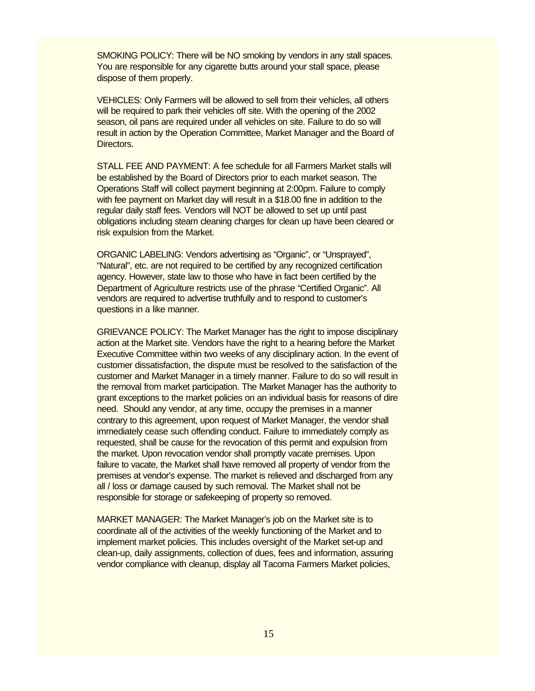SMOKING POLICY: There will be NO smoking by vendors in any stall spaces. You are responsible for any cigarette butts around your stall space, please dispose of them properly.

VEHICLES: Only Farmers will be allowed to sell from their vehicles, all others will be required to park their vehicles off site. With the opening of the 2002 season, oil pans are required under all vehicles on site. Failure to do so will result in action by the Operation Committee, Market Manager and the Board of Directors.

STALL FEE AND PAYMENT: A fee schedule for all Farmers Market stalls will be established by the Board of Directors prior to each market season. The Operations Staff will collect payment beginning at 2:00pm. Failure to comply with fee payment on Market day will result in a \$18.00 fine in addition to the regular daily staff fees. Vendors will NOT be allowed to set up until past obligations including steam cleaning charges for clean up have been cleared or risk expulsion from the Market.

ORGANIC LABELING: Vendors advertising as "Organic", or "Unsprayed", "Natural", etc. are not required to be certified by any recognized certification agency. However, state law to those who have in fact been certified by the Department of Agriculture restricts use of the phrase "Certified Organic". All vendors are required to advertise truthfully and to respond to customer's questions in a like manner.

GRIEVANCE POLICY: The Market Manager has the right to impose disciplinary action at the Market site. Vendors have the right to a hearing before the Market Executive Committee within two weeks of any disciplinary action. In the event of customer dissatisfaction, the dispute must be resolved to the satisfaction of the customer and Market Manager in a timely manner. Failure to do so will result in the removal from market participation. The Market Manager has the authority to grant exceptions to the market policies on an individual basis for reasons of dire need. Should any vendor, at any time, occupy the premises in a manner contrary to this agreement, upon request of Market Manager, the vendor shall immediately cease such offending conduct. Failure to immediately comply as requested, shall be cause for the revocation of this permit and expulsion from the market. Upon revocation vendor shall promptly vacate premises. Upon failure to vacate, the Market shall have removed all property of vendor from the premises at vendor's expense. The market is relieved and discharged from any all / loss or damage caused by such removal. The Market shall not be responsible for storage or safekeeping of property so removed.

MARKET MANAGER: The Market Manager's job on the Market site is to coordinate all of the activities of the weekly functioning of the Market and to implement market policies. This includes oversight of the Market set-up and clean-up, daily assignments, collection of dues, fees and information, assuring vendor compliance with cleanup, display all Tacoma Farmers Market policies,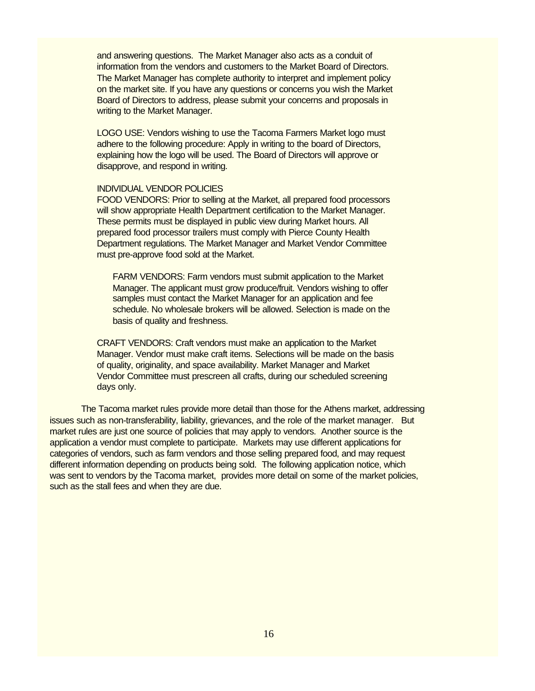and answering questions. The Market Manager also acts as a conduit of information from the vendors and customers to the Market Board of Directors. The Market Manager has complete authority to interpret and implement policy on the market site. If you have any questions or concerns you wish the Market Board of Directors to address, please submit your concerns and proposals in writing to the Market Manager.

LOGO USE: Vendors wishing to use the Tacoma Farmers Market logo must adhere to the following procedure: Apply in writing to the board of Directors, explaining how the logo will be used. The Board of Directors will approve or disapprove, and respond in writing.

#### INDIVIDUAL VENDOR POLICIES

FOOD VENDORS: Prior to selling at the Market, all prepared food processors will show appropriate Health Department certification to the Market Manager. These permits must be displayed in public view during Market hours. All prepared food processor trailers must comply with Pierce County Health Department regulations. The Market Manager and Market Vendor Committee must pre-approve food sold at the Market.

FARM VENDORS: Farm vendors must submit application to the Market Manager. The applicant must grow produce/fruit. Vendors wishing to offer samples must contact the Market Manager for an application and fee schedule. No wholesale brokers will be allowed. Selection is made on the basis of quality and freshness.

CRAFT VENDORS: Craft vendors must make an application to the Market Manager. Vendor must make craft items. Selections will be made on the basis of quality, originality, and space availability. Market Manager and Market Vendor Committee must prescreen all crafts, during our scheduled screening days only.

The Tacoma market rules provide more detail than those for the Athens market, addressing issues such as non-transferability, liability, grievances, and the role of the market manager. But market rules are just one source of policies that may apply to vendors. Another source is the application a vendor must complete to participate. Markets may use different applications for categories of vendors, such as farm vendors and those selling prepared food, and may request different information depending on products being sold. The following application notice, which was sent to vendors by the Tacoma market, provides more detail on some of the market policies, such as the stall fees and when they are due.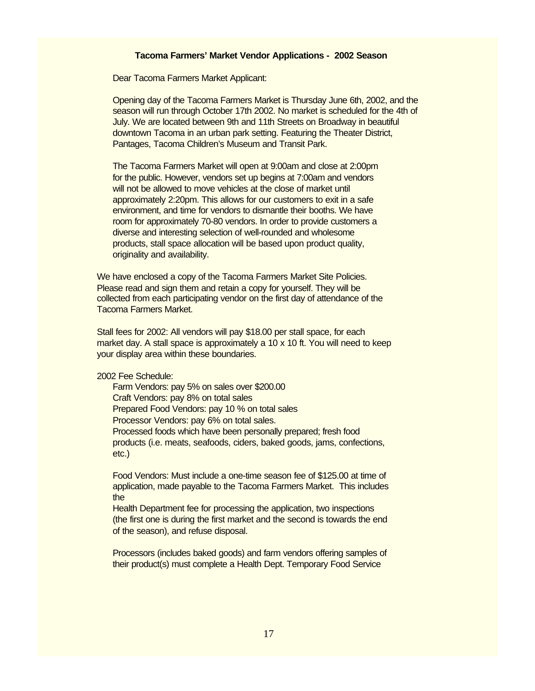#### **Tacoma Farmers' Market Vendor Applications - 2002 Season**

Dear Tacoma Farmers Market Applicant:

Opening day of the Tacoma Farmers Market is Thursday June 6th, 2002, and the season will run through October 17th 2002. No market is scheduled for the 4th of July. We are located between 9th and 11th Streets on Broadway in beautiful downtown Tacoma in an urban park setting. Featuring the Theater District, Pantages, Tacoma Children's Museum and Transit Park.

The Tacoma Farmers Market will open at 9:00am and close at 2:00pm for the public. However, vendors set up begins at 7:00am and vendors will not be allowed to move vehicles at the close of market until approximately 2:20pm. This allows for our customers to exit in a safe environment, and time for vendors to dismantle their booths. We have room for approximately 70-80 vendors. In order to provide customers a diverse and interesting selection of well-rounded and wholesome products, stall space allocation will be based upon product quality, originality and availability.

We have enclosed a copy of the Tacoma Farmers Market Site Policies. Please read and sign them and retain a copy for yourself. They will be collected from each participating vendor on the first day of attendance of the Tacoma Farmers Market.

Stall fees for 2002: All vendors will pay \$18.00 per stall space, for each market day. A stall space is approximately a 10 x 10 ft. You will need to keep your display area within these boundaries.

2002 Fee Schedule:

Farm Vendors: pay 5% on sales over \$200.00 Craft Vendors: pay 8% on total sales Prepared Food Vendors: pay 10 % on total sales Processor Vendors: pay 6% on total sales. Processed foods which have been personally prepared; fresh food products (i.e. meats, seafoods, ciders, baked goods, jams, confections, etc.)

Food Vendors: Must include a one-time season fee of \$125.00 at time of application, made payable to the Tacoma Farmers Market. This includes the

Health Department fee for processing the application, two inspections (the first one is during the first market and the second is towards the end of the season), and refuse disposal.

Processors (includes baked goods) and farm vendors offering samples of their product(s) must complete a Health Dept. Temporary Food Service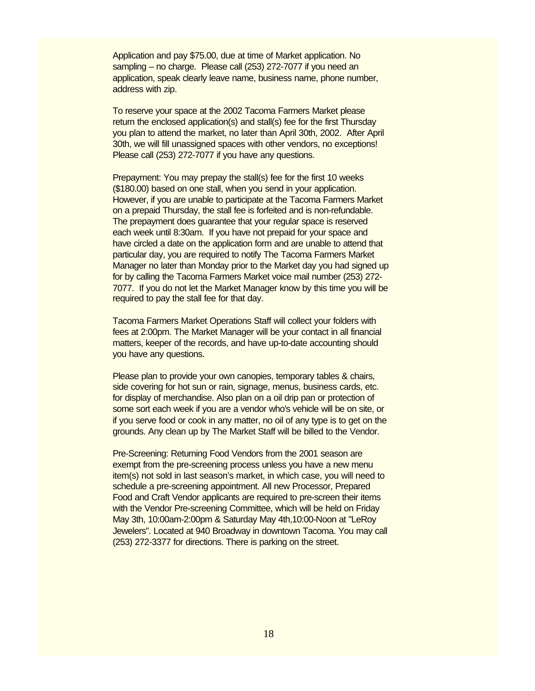Application and pay \$75.00, due at time of Market application. No sampling – no charge. Please call (253) 272-7077 if you need an application, speak clearly leave name, business name, phone number, address with zip.

To reserve your space at the 2002 Tacoma Farmers Market please return the enclosed application(s) and stall(s) fee for the first Thursday you plan to attend the market, no later than April 30th, 2002. After April 30th, we will fill unassigned spaces with other vendors, no exceptions! Please call (253) 272-7077 if you have any questions.

Prepayment: You may prepay the stall(s) fee for the first 10 weeks (\$180.00) based on one stall, when you send in your application. However, if you are unable to participate at the Tacoma Farmers Market on a prepaid Thursday, the stall fee is forfeited and is non-refundable. The prepayment does guarantee that your regular space is reserved each week until 8:30am. If you have not prepaid for your space and have circled a date on the application form and are unable to attend that particular day, you are required to notify The Tacoma Farmers Market Manager no later than Monday prior to the Market day you had signed up for by calling the Tacoma Farmers Market voice mail number (253) 272- 7077. If you do not let the Market Manager know by this time you will be required to pay the stall fee for that day.

Tacoma Farmers Market Operations Staff will collect your folders with fees at 2:00pm. The Market Manager will be your contact in all financial matters, keeper of the records, and have up-to-date accounting should you have any questions.

Please plan to provide your own canopies, temporary tables & chairs, side covering for hot sun or rain, signage, menus, business cards, etc. for display of merchandise. Also plan on a oil drip pan or protection of some sort each week if you are a vendor who's vehicle will be on site, or if you serve food or cook in any matter, no oil of any type is to get on the grounds. Any clean up by The Market Staff will be billed to the Vendor.

Pre-Screening: Returning Food Vendors from the 2001 season are exempt from the pre-screening process unless you have a new menu item(s) not sold in last season's market, in which case, you will need to schedule a pre-screening appointment. All new Processor, Prepared Food and Craft Vendor applicants are required to pre-screen their items with the Vendor Pre-screening Committee, which will be held on Friday May 3th, 10:00am-2:00pm & Saturday May 4th,10:00-Noon at "LeRoy Jewelers". Located at 940 Broadway in downtown Tacoma. You may call (253) 272-3377 for directions. There is parking on the street.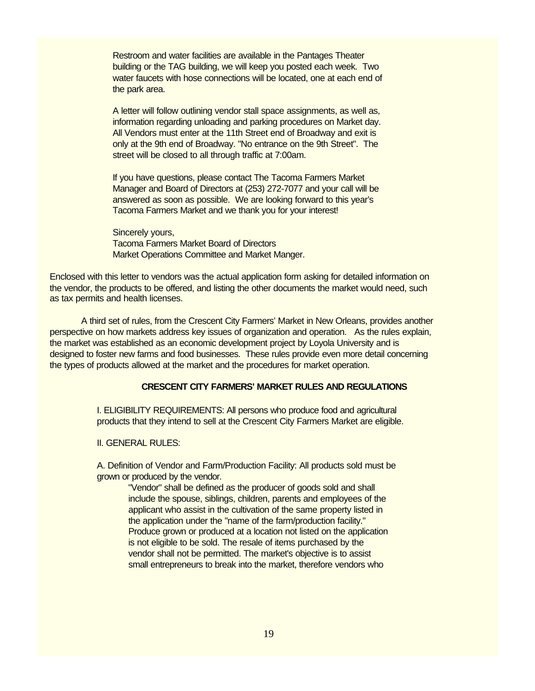Restroom and water facilities are available in the Pantages Theater building or the TAG building, we will keep you posted each week. Two water faucets with hose connections will be located, one at each end of the park area.

A letter will follow outlining vendor stall space assignments, as well as, information regarding unloading and parking procedures on Market day. All Vendors must enter at the 11th Street end of Broadway and exit is only at the 9th end of Broadway. "No entrance on the 9th Street". The street will be closed to all through traffic at 7:00am.

If you have questions, please contact The Tacoma Farmers Market Manager and Board of Directors at (253) 272-7077 and your call will be answered as soon as possible. We are looking forward to this year's Tacoma Farmers Market and we thank you for your interest!

Sincerely yours, Tacoma Farmers Market Board of Directors Market Operations Committee and Market Manger.

Enclosed with this letter to vendors was the actual application form asking for detailed information on the vendor, the products to be offered, and listing the other documents the market would need, such as tax permits and health licenses.

A third set of rules, from the Crescent City Farmers' Market in New Orleans, provides another perspective on how markets address key issues of organization and operation. As the rules explain, the market was established as an economic development project by Loyola University and is designed to foster new farms and food businesses. These rules provide even more detail concerning the types of products allowed at the market and the procedures for market operation.

### **CRESCENT CITY FARMERS' MARKET RULES AND REGULATIONS**

I. ELIGIBILITY REQUIREMENTS: All persons who produce food and agricultural products that they intend to sell at the Crescent City Farmers Market are eligible.

## II. GENERAL RULES:

A. Definition of Vendor and Farm/Production Facility: All products sold must be grown or produced by the vendor.

> "Vendor" shall be defined as the producer of goods sold and shall include the spouse, siblings, children, parents and employees of the applicant who assist in the cultivation of the same property listed in the application under the "name of the farm/production facility." Produce grown or produced at a location not listed on the application is not eligible to be sold. The resale of items purchased by the vendor shall not be permitted. The market's objective is to assist small entrepreneurs to break into the market, therefore vendors who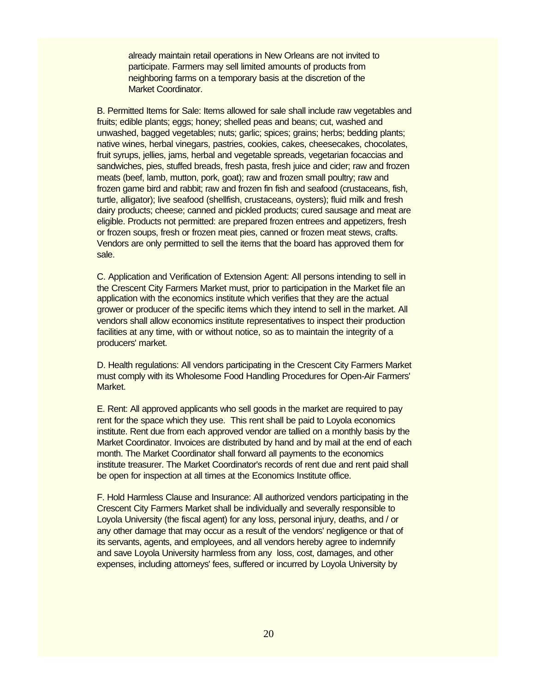already maintain retail operations in New Orleans are not invited to participate. Farmers may sell limited amounts of products from neighboring farms on a temporary basis at the discretion of the Market Coordinator.

B. Permitted Items for Sale: Items allowed for sale shall include raw vegetables and fruits; edible plants; eggs; honey; shelled peas and beans; cut, washed and unwashed, bagged vegetables; nuts; garlic; spices; grains; herbs; bedding plants; native wines, herbal vinegars, pastries, cookies, cakes, cheesecakes, chocolates, fruit syrups, jellies, jams, herbal and vegetable spreads, vegetarian focaccias and sandwiches, pies, stuffed breads, fresh pasta, fresh juice and cider; raw and frozen meats (beef, lamb, mutton, pork, goat); raw and frozen small poultry; raw and frozen game bird and rabbit; raw and frozen fin fish and seafood (crustaceans, fish, turtle, alligator); live seafood (shellfish, crustaceans, oysters); fluid milk and fresh dairy products; cheese; canned and pickled products; cured sausage and meat are eligible. Products not permitted: are prepared frozen entrees and appetizers, fresh or frozen soups, fresh or frozen meat pies, canned or frozen meat stews, crafts. Vendors are only permitted to sell the items that the board has approved them for sale.

C. Application and Verification of Extension Agent: All persons intending to sell in the Crescent City Farmers Market must, prior to participation in the Market file an application with the economics institute which verifies that they are the actual grower or producer of the specific items which they intend to sell in the market. All vendors shall allow economics institute representatives to inspect their production facilities at any time, with or without notice, so as to maintain the integrity of a producers' market.

D. Health regulations: All vendors participating in the Crescent City Farmers Market must comply with its Wholesome Food Handling Procedures for Open-Air Farmers' Market.

E. Rent: All approved applicants who sell goods in the market are required to pay rent for the space which they use. This rent shall be paid to Loyola economics institute. Rent due from each approved vendor are tallied on a monthly basis by the Market Coordinator. Invoices are distributed by hand and by mail at the end of each month. The Market Coordinator shall forward all payments to the economics institute treasurer. The Market Coordinator's records of rent due and rent paid shall be open for inspection at all times at the Economics Institute office.

F. Hold Harmless Clause and Insurance: All authorized vendors participating in the Crescent City Farmers Market shall be individually and severally responsible to Loyola University (the fiscal agent) for any loss, personal injury, deaths, and / or any other damage that may occur as a result of the vendors' negligence or that of its servants, agents, and employees, and all vendors hereby agree to indemnify and save Loyola University harmless from any loss, cost, damages, and other expenses, including attorneys' fees, suffered or incurred by Loyola University by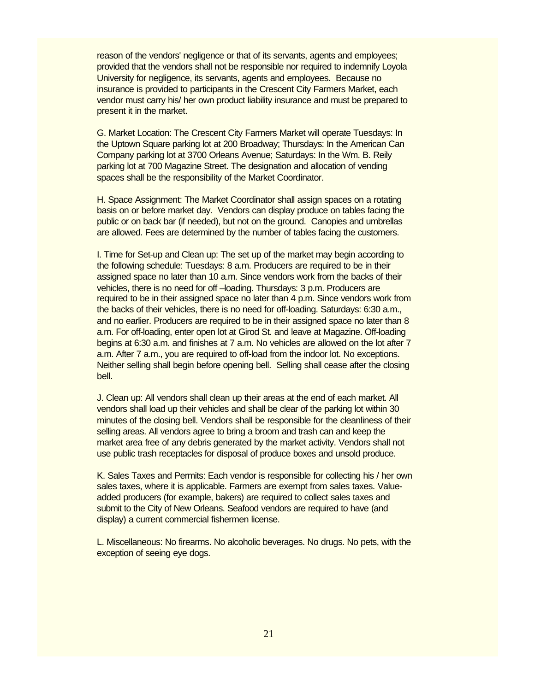reason of the vendors' negligence or that of its servants, agents and employees; provided that the vendors shall not be responsible nor required to indemnify Loyola University for negligence, its servants, agents and employees. Because no insurance is provided to participants in the Crescent City Farmers Market, each vendor must carry his/ her own product liability insurance and must be prepared to present it in the market.

G. Market Location: The Crescent City Farmers Market will operate Tuesdays: In the Uptown Square parking lot at 200 Broadway; Thursdays: In the American Can Company parking lot at 3700 Orleans Avenue; Saturdays: In the Wm. B. Reily parking lot at 700 Magazine Street. The designation and allocation of vending spaces shall be the responsibility of the Market Coordinator.

H. Space Assignment: The Market Coordinator shall assign spaces on a rotating basis on or before market day. Vendors can display produce on tables facing the public or on back bar (if needed), but not on the ground. Canopies and umbrellas are allowed. Fees are determined by the number of tables facing the customers.

I. Time for Set-up and Clean up: The set up of the market may begin according to the following schedule: Tuesdays: 8 a.m. Producers are required to be in their assigned space no later than 10 a.m. Since vendors work from the backs of their vehicles, there is no need for off -loading. Thursdays: 3 p.m. Producers are required to be in their assigned space no later than 4 p.m. Since vendors work from the backs of their vehicles, there is no need for off-loading. Saturdays: 6:30 a.m., and no earlier. Producers are required to be in their assigned space no later than 8 a.m. For off-loading, enter open lot at Girod St. and leave at Magazine. Off-loading begins at 6:30 a.m. and finishes at 7 a.m. No vehicles are allowed on the lot after 7 a.m. After 7 a.m., you are required to off-load from the indoor lot. No exceptions. Neither selling shall begin before opening bell. Selling shall cease after the closing bell.

J. Clean up: All vendors shall clean up their areas at the end of each market. All vendors shall load up their vehicles and shall be clear of the parking lot within 30 minutes of the closing bell. Vendors shall be responsible for the cleanliness of their selling areas. All vendors agree to bring a broom and trash can and keep the market area free of any debris generated by the market activity. Vendors shall not use public trash receptacles for disposal of produce boxes and unsold produce.

K. Sales Taxes and Permits: Each vendor is responsible for collecting his / her own sales taxes, where it is applicable. Farmers are exempt from sales taxes. Valueadded producers (for example, bakers) are required to collect sales taxes and submit to the City of New Orleans. Seafood vendors are required to have (and display) a current commercial fishermen license.

L. Miscellaneous: No firearms. No alcoholic beverages. No drugs. No pets, with the exception of seeing eye dogs.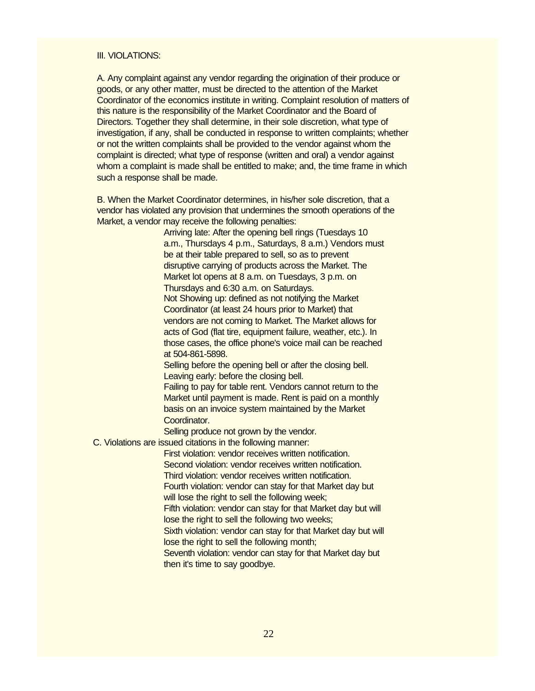### III. VIOLATIONS:

A. Any complaint against any vendor regarding the origination of their produce or goods, or any other matter, must be directed to the attention of the Market Coordinator of the economics institute in writing. Complaint resolution of matters of this nature is the responsibility of the Market Coordinator and the Board of Directors. Together they shall determine, in their sole discretion, what type of investigation, if any, shall be conducted in response to written complaints; whether or not the written complaints shall be provided to the vendor against whom the complaint is directed; what type of response (written and oral) a vendor against whom a complaint is made shall be entitled to make; and, the time frame in which such a response shall be made.

B. When the Market Coordinator determines, in his/her sole discretion, that a vendor has violated any provision that undermines the smooth operations of the Market, a vendor may receive the following penalties:

> Arriving late: After the opening bell rings (Tuesdays 10 a.m., Thursdays 4 p.m., Saturdays, 8 a.m.) Vendors must be at their table prepared to sell, so as to prevent disruptive carrying of products across the Market. The Market lot opens at 8 a.m. on Tuesdays, 3 p.m. on Thursdays and 6:30 a.m. on Saturdays. Not Showing up: defined as not notifying the Market Coordinator (at least 24 hours prior to Market) that vendors are not coming to Market. The Market allows for acts of God (flat tire, equipment failure, weather, etc.). In those cases, the office phone's voice mail can be reached at 504-861-5898.

Selling before the opening bell or after the closing bell. Leaving early: before the closing bell.

Failing to pay for table rent. Vendors cannot return to the Market until payment is made. Rent is paid on a monthly basis on an invoice system maintained by the Market Coordinator.

Selling produce not grown by the vendor.

C. Violations are issued citations in the following manner:

First violation: vendor receives written notification. Second violation: vendor receives written notification. Third violation: vendor receives written notification. Fourth violation: vendor can stay for that Market day but will lose the right to sell the following week; Fifth violation: vendor can stay for that Market day but will lose the right to sell the following two weeks; Sixth violation: vendor can stay for that Market day but will

lose the right to sell the following month;

Seventh violation: vendor can stay for that Market day but then it's time to say goodbye.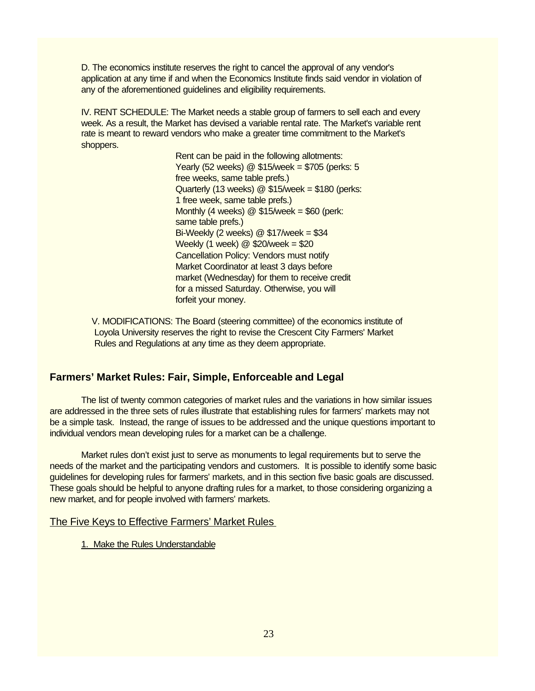D. The economics institute reserves the right to cancel the approval of any vendor's application at any time if and when the Economics Institute finds said vendor in violation of any of the aforementioned guidelines and eligibility requirements.

IV. RENT SCHEDULE: The Market needs a stable group of farmers to sell each and every week. As a result, the Market has devised a variable rental rate. The Market's variable rent rate is meant to reward vendors who make a greater time commitment to the Market's shoppers.

> Rent can be paid in the following allotments: Yearly (52 weeks) @ \$15/week = \$705 (perks: 5 free weeks, same table prefs.) Quarterly (13 weeks)  $@$  \$15/week = \$180 (perks: 1 free week, same table prefs.) Monthly (4 weeks)  $@$  \$15/week = \$60 (perk: same table prefs.) Bi-Weekly (2 weeks)  $@$  \$17/week = \$34 Weekly (1 week)  $@$  \$20/week = \$20 Cancellation Policy: Vendors must notify Market Coordinator at least 3 days before market (Wednesday) for them to receive credit for a missed Saturday. Otherwise, you will forfeit your money.

 V. MODIFICATIONS: The Board (steering committee) of the economics institute of Loyola University reserves the right to revise the Crescent City Farmers' Market Rules and Regulations at any time as they deem appropriate.

# **Farmers' Market Rules: Fair, Simple, Enforceable and Legal**

The list of twenty common categories of market rules and the variations in how similar issues are addressed in the three sets of rules illustrate that establishing rules for farmers' markets may not be a simple task. Instead, the range of issues to be addressed and the unique questions important to individual vendors mean developing rules for a market can be a challenge.

Market rules don't exist just to serve as monuments to legal requirements but to serve the needs of the market and the participating vendors and customers. It is possible to identify some basic guidelines for developing rules for farmers' markets, and in this section five basic goals are discussed. These goals should be helpful to anyone drafting rules for a market, to those considering organizing a new market, and for people involved with farmers' markets.

## The Five Keys to Effective Farmers' Market Rules

## 1. Make the Rules Understandable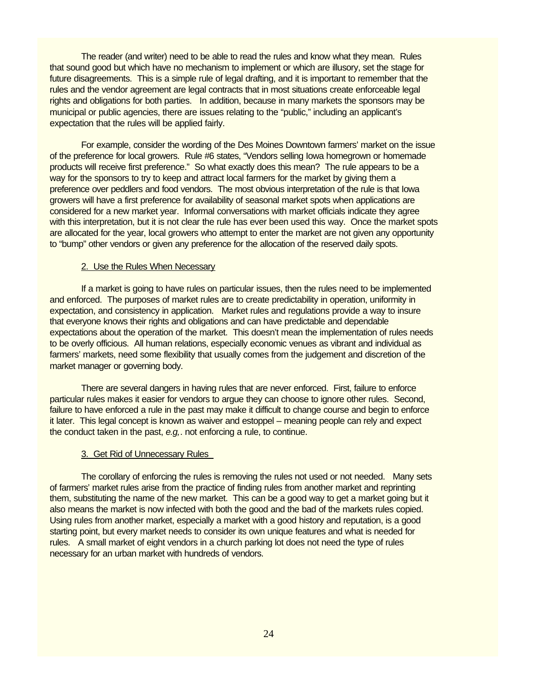The reader (and writer) need to be able to read the rules and know what they mean. Rules that sound good but which have no mechanism to implement or which are illusory, set the stage for future disagreements. This is a simple rule of legal drafting, and it is important to remember that the rules and the vendor agreement are legal contracts that in most situations create enforceable legal rights and obligations for both parties. In addition, because in many markets the sponsors may be municipal or public agencies, there are issues relating to the "public," including an applicant's expectation that the rules will be applied fairly.

For example, consider the wording of the Des Moines Downtown farmers' market on the issue of the preference for local growers. Rule #6 states, "Vendors selling Iowa homegrown or homemade products will receive first preference." So what exactly does this mean? The rule appears to be a way for the sponsors to try to keep and attract local farmers for the market by giving them a preference over peddlers and food vendors. The most obvious interpretation of the rule is that Iowa growers will have a first preference for availability of seasonal market spots when applications are considered for a new market year. Informal conversations with market officials indicate they agree with this interpretation, but it is not clear the rule has ever been used this way. Once the market spots are allocated for the year, local growers who attempt to enter the market are not given any opportunity to "bump" other vendors or given any preference for the allocation of the reserved daily spots.

#### 2. Use the Rules When Necessary

If a market is going to have rules on particular issues, then the rules need to be implemented and enforced. The purposes of market rules are to create predictability in operation, uniformity in expectation, and consistency in application. Market rules and regulations provide a way to insure that everyone knows their rights and obligations and can have predictable and dependable expectations about the operation of the market. This doesn't mean the implementation of rules needs to be overly officious. All human relations, especially economic venues as vibrant and individual as farmers' markets, need some flexibility that usually comes from the judgement and discretion of the market manager or governing body.

There are several dangers in having rules that are never enforced. First, failure to enforce particular rules makes it easier for vendors to argue they can choose to ignore other rules. Second, failure to have enforced a rule in the past may make it difficult to change course and begin to enforce it later. This legal concept is known as waiver and estoppel – meaning people can rely and expect the conduct taken in the past, *e.g,*. not enforcing a rule, to continue.

#### 3. Get Rid of Unnecessary Rules

The corollary of enforcing the rules is removing the rules not used or not needed. Many sets of farmers' market rules arise from the practice of finding rules from another market and reprinting them, substituting the name of the new market. This can be a good way to get a market going but it also means the market is now infected with both the good and the bad of the markets rules copied. Using rules from another market, especially a market with a good history and reputation, is a good starting point, but every market needs to consider its own unique features and what is needed for rules. A small market of eight vendors in a church parking lot does not need the type of rules necessary for an urban market with hundreds of vendors.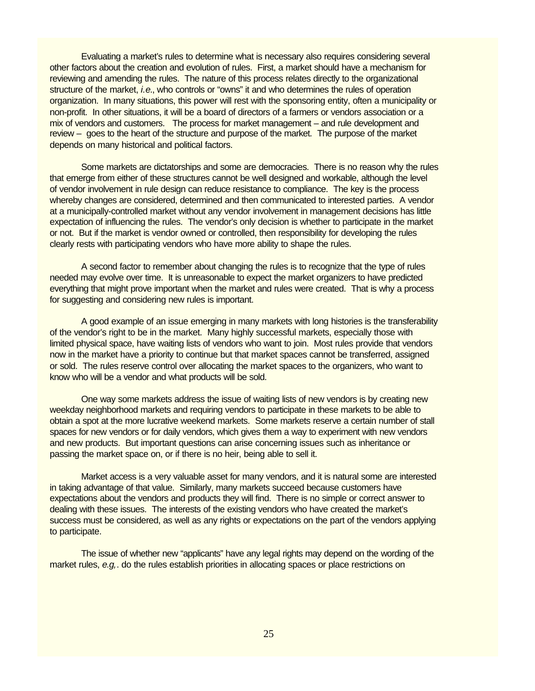Evaluating a market's rules to determine what is necessary also requires considering several other factors about the creation and evolution of rules. First, a market should have a mechanism for reviewing and amending the rules. The nature of this process relates directly to the organizational structure of the market, *i.e*., who controls or "owns" it and who determines the rules of operation organization. In many situations, this power will rest with the sponsoring entity, often a municipality or non-profit. In other situations, it will be a board of directors of a farmers or vendors association or a mix of vendors and customers. The process for market management – and rule development and review – goes to the heart of the structure and purpose of the market. The purpose of the market depends on many historical and political factors.

Some markets are dictatorships and some are democracies. There is no reason why the rules that emerge from either of these structures cannot be well designed and workable, although the level of vendor involvement in rule design can reduce resistance to compliance. The key is the process whereby changes are considered, determined and then communicated to interested parties. A vendor at a municipally-controlled market without any vendor involvement in management decisions has little expectation of influencing the rules. The vendor's only decision is whether to participate in the market or not. But if the market is vendor owned or controlled, then responsibility for developing the rules clearly rests with participating vendors who have more ability to shape the rules.

A second factor to remember about changing the rules is to recognize that the type of rules needed may evolve over time. It is unreasonable to expect the market organizers to have predicted everything that might prove important when the market and rules were created. That is why a process for suggesting and considering new rules is important.

A good example of an issue emerging in many markets with long histories is the transferability of the vendor's right to be in the market. Many highly successful markets, especially those with limited physical space, have waiting lists of vendors who want to join. Most rules provide that vendors now in the market have a priority to continue but that market spaces cannot be transferred, assigned or sold. The rules reserve control over allocating the market spaces to the organizers, who want to know who will be a vendor and what products will be sold.

One way some markets address the issue of waiting lists of new vendors is by creating new weekday neighborhood markets and requiring vendors to participate in these markets to be able to obtain a spot at the more lucrative weekend markets. Some markets reserve a certain number of stall spaces for new vendors or for daily vendors, which gives them a way to experiment with new vendors and new products. But important questions can arise concerning issues such as inheritance or passing the market space on, or if there is no heir, being able to sell it.

Market access is a very valuable asset for many vendors, and it is natural some are interested in taking advantage of that value. Similarly, many markets succeed because customers have expectations about the vendors and products they will find. There is no simple or correct answer to dealing with these issues. The interests of the existing vendors who have created the market's success must be considered, as well as any rights or expectations on the part of the vendors applying to participate.

The issue of whether new "applicants" have any legal rights may depend on the wording of the market rules, *e.g,*. do the rules establish priorities in allocating spaces or place restrictions on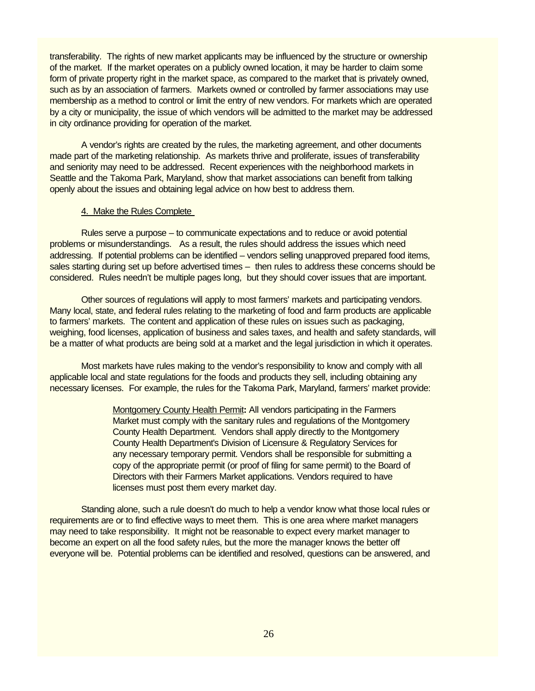transferability. The rights of new market applicants may be influenced by the structure or ownership of the market. If the market operates on a publicly owned location, it may be harder to claim some form of private property right in the market space, as compared to the market that is privately owned, such as by an association of farmers. Markets owned or controlled by farmer associations may use membership as a method to control or limit the entry of new vendors. For markets which are operated by a city or municipality, the issue of which vendors will be admitted to the market may be addressed in city ordinance providing for operation of the market.

A vendor's rights are created by the rules, the marketing agreement, and other documents made part of the marketing relationship. As markets thrive and proliferate, issues of transferability and seniority may need to be addressed. Recent experiences with the neighborhood markets in Seattle and the Takoma Park, Maryland, show that market associations can benefit from talking openly about the issues and obtaining legal advice on how best to address them.

#### 4. Make the Rules Complete

Rules serve a purpose – to communicate expectations and to reduce or avoid potential problems or misunderstandings. As a result, the rules should address the issues which need addressing. If potential problems can be identified – vendors selling unapproved prepared food items, sales starting during set up before advertised times – then rules to address these concerns should be considered. Rules needn't be multiple pages long, but they should cover issues that are important.

Other sources of regulations will apply to most farmers' markets and participating vendors. Many local, state, and federal rules relating to the marketing of food and farm products are applicable to farmers' markets. The content and application of these rules on issues such as packaging, weighing, food licenses, application of business and sales taxes, and health and safety standards, will be a matter of what products are being sold at a market and the legal jurisdiction in which it operates.

Most markets have rules making to the vendor's responsibility to know and comply with all applicable local and state regulations for the foods and products they sell, including obtaining any necessary licenses. For example, the rules for the Takoma Park, Maryland, farmers' market provide:

> Montgomery County Health Permit**:** All vendors participating in the Farmers Market must comply with the sanitary rules and regulations of the Montgomery County Health Department. Vendors shall apply directly to the Montgomery County Health Department's Division of Licensure & Regulatory Services for any necessary temporary permit. Vendors shall be responsible for submitting a copy of the appropriate permit (or proof of filing for same permit) to the Board of Directors with their Farmers Market applications. Vendors required to have licenses must post them every market day.

Standing alone, such a rule doesn't do much to help a vendor know what those local rules or requirements are or to find effective ways to meet them. This is one area where market managers may need to take responsibility. It might not be reasonable to expect every market manager to become an expert on all the food safety rules, but the more the manager knows the better off everyone will be. Potential problems can be identified and resolved, questions can be answered, and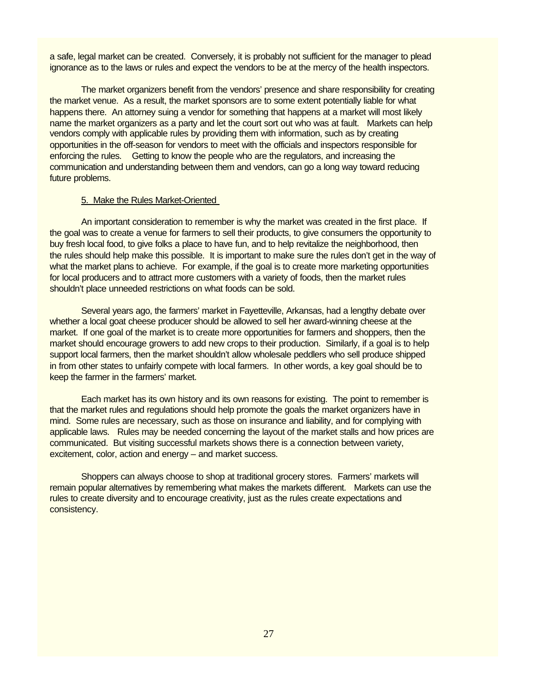a safe, legal market can be created. Conversely, it is probably not sufficient for the manager to plead ignorance as to the laws or rules and expect the vendors to be at the mercy of the health inspectors.

The market organizers benefit from the vendors' presence and share responsibility for creating the market venue. As a result, the market sponsors are to some extent potentially liable for what happens there. An attorney suing a vendor for something that happens at a market will most likely name the market organizers as a party and let the court sort out who was at fault. Markets can help vendors comply with applicable rules by providing them with information, such as by creating opportunities in the off-season for vendors to meet with the officials and inspectors responsible for enforcing the rules. Getting to know the people who are the regulators, and increasing the communication and understanding between them and vendors, can go a long way toward reducing future problems.

### 5. Make the Rules Market-Oriented

An important consideration to remember is why the market was created in the first place. If the goal was to create a venue for farmers to sell their products, to give consumers the opportunity to buy fresh local food, to give folks a place to have fun, and to help revitalize the neighborhood, then the rules should help make this possible. It is important to make sure the rules don't get in the way of what the market plans to achieve. For example, if the goal is to create more marketing opportunities for local producers and to attract more customers with a variety of foods, then the market rules shouldn't place unneeded restrictions on what foods can be sold.

Several years ago, the farmers' market in Fayetteville, Arkansas, had a lengthy debate over whether a local goat cheese producer should be allowed to sell her award-winning cheese at the market. If one goal of the market is to create more opportunities for farmers and shoppers, then the market should encourage growers to add new crops to their production. Similarly, if a goal is to help support local farmers, then the market shouldn't allow wholesale peddlers who sell produce shipped in from other states to unfairly compete with local farmers. In other words, a key goal should be to keep the farmer in the farmers' market.

Each market has its own history and its own reasons for existing. The point to remember is that the market rules and regulations should help promote the goals the market organizers have in mind. Some rules are necessary, such as those on insurance and liability, and for complying with applicable laws. Rules may be needed concerning the layout of the market stalls and how prices are communicated. But visiting successful markets shows there is a connection between variety, excitement, color, action and energy – and market success.

Shoppers can always choose to shop at traditional grocery stores. Farmers' markets will remain popular alternatives by remembering what makes the markets different. Markets can use the rules to create diversity and to encourage creativity, just as the rules create expectations and consistency.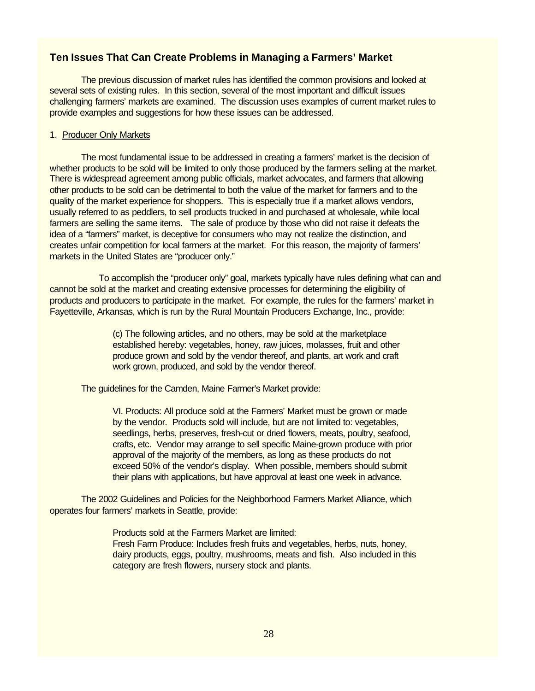# **Ten Issues That Can Create Problems in Managing a Farmers' Market**

The previous discussion of market rules has identified the common provisions and looked at several sets of existing rules. In this section, several of the most important and difficult issues challenging farmers' markets are examined. The discussion uses examples of current market rules to provide examples and suggestions for how these issues can be addressed.

#### 1. Producer Only Markets

The most fundamental issue to be addressed in creating a farmers' market is the decision of whether products to be sold will be limited to only those produced by the farmers selling at the market. There is widespread agreement among public officials, market advocates, and farmers that allowing other products to be sold can be detrimental to both the value of the market for farmers and to the quality of the market experience for shoppers. This is especially true if a market allows vendors, usually referred to as peddlers, to sell products trucked in and purchased at wholesale, while local farmers are selling the same items. The sale of produce by those who did not raise it defeats the idea of a "farmers" market, is deceptive for consumers who may not realize the distinction, and creates unfair competition for local farmers at the market. For this reason, the majority of farmers' markets in the United States are "producer only."

 To accomplish the "producer only" goal, markets typically have rules defining what can and cannot be sold at the market and creating extensive processes for determining the eligibility of products and producers to participate in the market. For example, the rules for the farmers' market in Fayetteville, Arkansas, which is run by the Rural Mountain Producers Exchange, Inc., provide:

> (c) The following articles, and no others, may be sold at the marketplace established hereby: vegetables, honey, raw juices, molasses, fruit and other produce grown and sold by the vendor thereof, and plants, art work and craft work grown, produced, and sold by the vendor thereof.

The guidelines for the Camden, Maine Farmer's Market provide:

VI. Products: All produce sold at the Farmers' Market must be grown or made by the vendor. Products sold will include, but are not limited to: vegetables, seedlings, herbs, preserves, fresh-cut or dried flowers, meats, poultry, seafood, crafts, etc. Vendor may arrange to sell specific Maine-grown produce with prior approval of the majority of the members, as long as these products do not exceed 50% of the vendor's display. When possible, members should submit their plans with applications, but have approval at least one week in advance.

The 2002 Guidelines and Policies for the Neighborhood Farmers Market Alliance, which operates four farmers' markets in Seattle, provide:

> Products sold at the Farmers Market are limited: Fresh Farm Produce: Includes fresh fruits and vegetables, herbs, nuts, honey, dairy products, eggs, poultry, mushrooms, meats and fish. Also included in this category are fresh flowers, nursery stock and plants.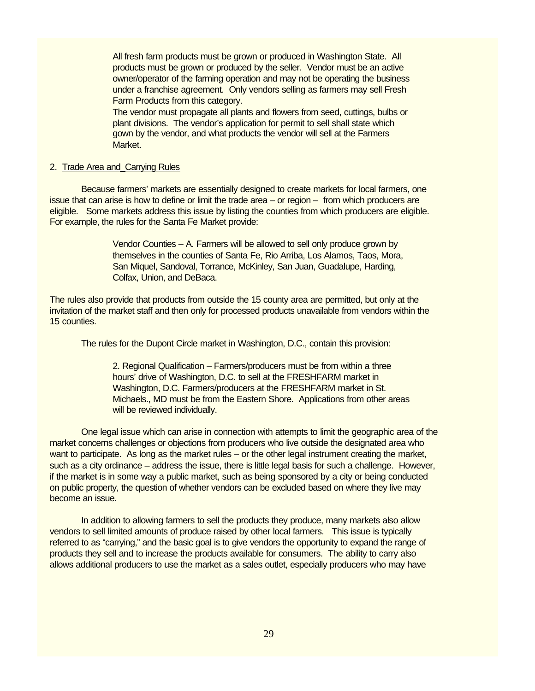All fresh farm products must be grown or produced in Washington State. All products must be grown or produced by the seller. Vendor must be an active owner/operator of the farming operation and may not be operating the business under a franchise agreement. Only vendors selling as farmers may sell Fresh Farm Products from this category.

The vendor must propagate all plants and flowers from seed, cuttings, bulbs or plant divisions. The vendor's application for permit to sell shall state which gown by the vendor, and what products the vendor will sell at the Farmers Market.

#### 2. Trade Area and Carrying Rules

Because farmers' markets are essentially designed to create markets for local farmers, one issue that can arise is how to define or limit the trade area – or region – from which producers are eligible. Some markets address this issue by listing the counties from which producers are eligible. For example, the rules for the Santa Fe Market provide:

> Vendor Counties – A. Farmers will be allowed to sell only produce grown by themselves in the counties of Santa Fe, Rio Arriba, Los Alamos, Taos, Mora, San Miquel, Sandoval, Torrance, McKinley, San Juan, Guadalupe, Harding, Colfax, Union, and DeBaca.

The rules also provide that products from outside the 15 county area are permitted, but only at the invitation of the market staff and then only for processed products unavailable from vendors within the 15 counties.

The rules for the Dupont Circle market in Washington, D.C., contain this provision:

2. Regional Qualification – Farmers/producers must be from within a three hours' drive of Washington, D.C. to sell at the FRESHFARM market in Washington, D.C. Farmers/producers at the FRESHFARM market in St. Michaels., MD must be from the Eastern Shore. Applications from other areas will be reviewed individually.

One legal issue which can arise in connection with attempts to limit the geographic area of the market concerns challenges or objections from producers who live outside the designated area who want to participate. As long as the market rules – or the other legal instrument creating the market, such as a city ordinance – address the issue, there is little legal basis for such a challenge. However, if the market is in some way a public market, such as being sponsored by a city or being conducted on public property, the question of whether vendors can be excluded based on where they live may become an issue.

In addition to allowing farmers to sell the products they produce, many markets also allow vendors to sell limited amounts of produce raised by other local farmers. This issue is typically referred to as "carrying," and the basic goal is to give vendors the opportunity to expand the range of products they sell and to increase the products available for consumers. The ability to carry also allows additional producers to use the market as a sales outlet, especially producers who may have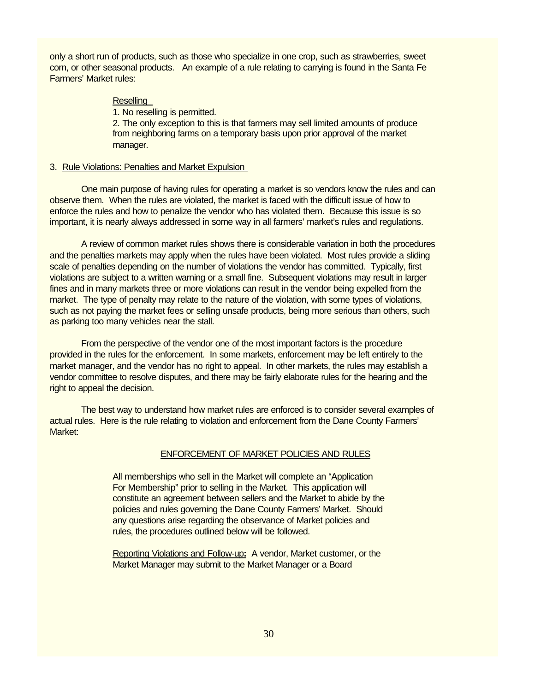only a short run of products, such as those who specialize in one crop, such as strawberries, sweet corn, or other seasonal products. An example of a rule relating to carrying is found in the Santa Fe Farmers' Market rules:

### **Reselling**

1. No reselling is permitted.

2. The only exception to this is that farmers may sell limited amounts of produce from neighboring farms on a temporary basis upon prior approval of the market manager.

#### 3. Rule Violations: Penalties and Market Expulsion

One main purpose of having rules for operating a market is so vendors know the rules and can observe them. When the rules are violated, the market is faced with the difficult issue of how to enforce the rules and how to penalize the vendor who has violated them. Because this issue is so important, it is nearly always addressed in some way in all farmers' market's rules and regulations.

A review of common market rules shows there is considerable variation in both the procedures and the penalties markets may apply when the rules have been violated. Most rules provide a sliding scale of penalties depending on the number of violations the vendor has committed. Typically, first violations are subject to a written warning or a small fine. Subsequent violations may result in larger fines and in many markets three or more violations can result in the vendor being expelled from the market. The type of penalty may relate to the nature of the violation, with some types of violations, such as not paying the market fees or selling unsafe products, being more serious than others, such as parking too many vehicles near the stall.

From the perspective of the vendor one of the most important factors is the procedure provided in the rules for the enforcement. In some markets, enforcement may be left entirely to the market manager, and the vendor has no right to appeal. In other markets, the rules may establish a vendor committee to resolve disputes, and there may be fairly elaborate rules for the hearing and the right to appeal the decision.

The best way to understand how market rules are enforced is to consider several examples of actual rules. Here is the rule relating to violation and enforcement from the Dane County Farmers' Market:

## ENFORCEMENT OF MARKET POLICIES AND RULES

All memberships who sell in the Market will complete an "Application For Membership" prior to selling in the Market. This application will constitute an agreement between sellers and the Market to abide by the policies and rules governing the Dane County Farmers' Market. Should any questions arise regarding the observance of Market policies and rules, the procedures outlined below will be followed.

Reporting Violations and Follow-up**:** A vendor, Market customer, or the Market Manager may submit to the Market Manager or a Board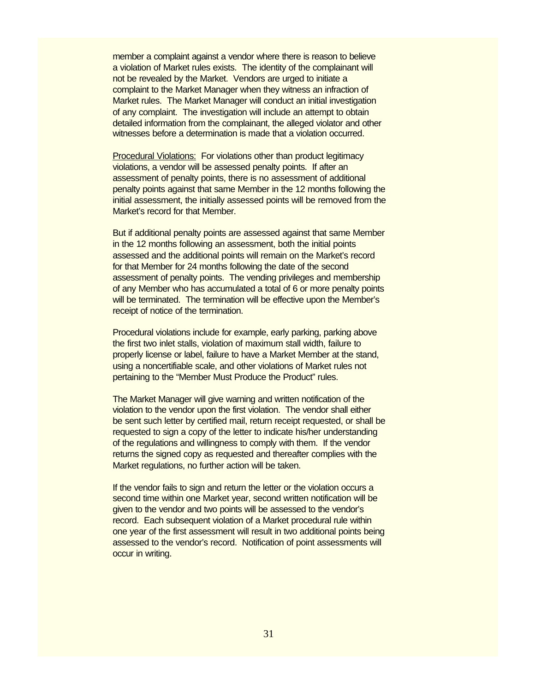member a complaint against a vendor where there is reason to believe a violation of Market rules exists. The identity of the complainant will not be revealed by the Market. Vendors are urged to initiate a complaint to the Market Manager when they witness an infraction of Market rules. The Market Manager will conduct an initial investigation of any complaint. The investigation will include an attempt to obtain detailed information from the complainant, the alleged violator and other witnesses before a determination is made that a violation occurred.

Procedural Violations: For violations other than product legitimacy violations, a vendor will be assessed penalty points. If after an assessment of penalty points, there is no assessment of additional penalty points against that same Member in the 12 months following the initial assessment, the initially assessed points will be removed from the Market's record for that Member.

But if additional penalty points are assessed against that same Member in the 12 months following an assessment, both the initial points assessed and the additional points will remain on the Market's record for that Member for 24 months following the date of the second assessment of penalty points. The vending privileges and membership of any Member who has accumulated a total of 6 or more penalty points will be terminated. The termination will be effective upon the Member's receipt of notice of the termination.

Procedural violations include for example, early parking, parking above the first two inlet stalls, violation of maximum stall width, failure to properly license or label, failure to have a Market Member at the stand, using a noncertifiable scale, and other violations of Market rules not pertaining to the "Member Must Produce the Product" rules.

The Market Manager will give warning and written notification of the violation to the vendor upon the first violation. The vendor shall either be sent such letter by certified mail, return receipt requested, or shall be requested to sign a copy of the letter to indicate his/her understanding of the regulations and willingness to comply with them. If the vendor returns the signed copy as requested and thereafter complies with the Market regulations, no further action will be taken.

If the vendor fails to sign and return the letter or the violation occurs a second time within one Market year, second written notification will be given to the vendor and two points will be assessed to the vendor's record. Each subsequent violation of a Market procedural rule within one year of the first assessment will result in two additional points being assessed to the vendor's record. Notification of point assessments will occur in writing.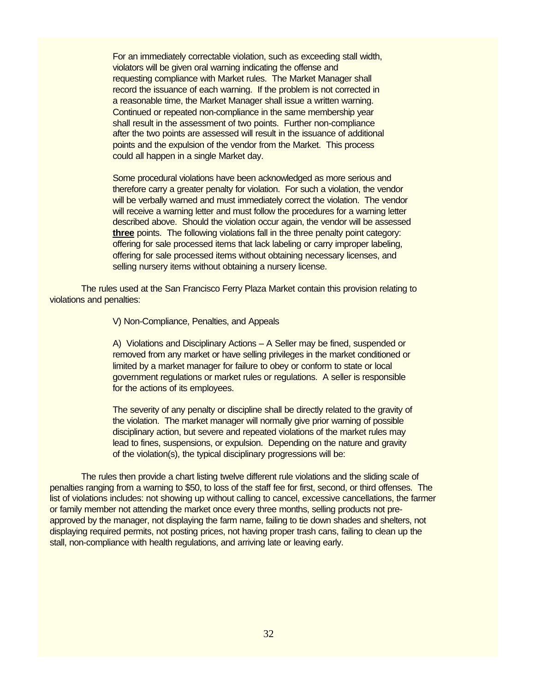For an immediately correctable violation, such as exceeding stall width, violators will be given oral warning indicating the offense and requesting compliance with Market rules. The Market Manager shall record the issuance of each warning. If the problem is not corrected in a reasonable time, the Market Manager shall issue a written warning. Continued or repeated non-compliance in the same membership year shall result in the assessment of two points. Further non-compliance after the two points are assessed will result in the issuance of additional points and the expulsion of the vendor from the Market. This process could all happen in a single Market day.

Some procedural violations have been acknowledged as more serious and therefore carry a greater penalty for violation. For such a violation, the vendor will be verbally warned and must immediately correct the violation. The vendor will receive a warning letter and must follow the procedures for a warning letter described above. Should the violation occur again, the vendor will be assessed **three** points. The following violations fall in the three penalty point category: offering for sale processed items that lack labeling or carry improper labeling, offering for sale processed items without obtaining necessary licenses, and selling nursery items without obtaining a nursery license.

The rules used at the San Francisco Ferry Plaza Market contain this provision relating to violations and penalties:

V) Non-Compliance, Penalties, and Appeals

A) Violations and Disciplinary Actions – A Seller may be fined, suspended or removed from any market or have selling privileges in the market conditioned or limited by a market manager for failure to obey or conform to state or local government regulations or market rules or regulations. A seller is responsible for the actions of its employees.

The severity of any penalty or discipline shall be directly related to the gravity of the violation. The market manager will normally give prior warning of possible disciplinary action, but severe and repeated violations of the market rules may lead to fines, suspensions, or expulsion. Depending on the nature and gravity of the violation(s), the typical disciplinary progressions will be:

The rules then provide a chart listing twelve different rule violations and the sliding scale of penalties ranging from a warning to \$50, to loss of the staff fee for first, second, or third offenses. The list of violations includes: not showing up without calling to cancel, excessive cancellations, the farmer or family member not attending the market once every three months, selling products not preapproved by the manager, not displaying the farm name, failing to tie down shades and shelters, not displaying required permits, not posting prices, not having proper trash cans, failing to clean up the stall, non-compliance with health regulations, and arriving late or leaving early.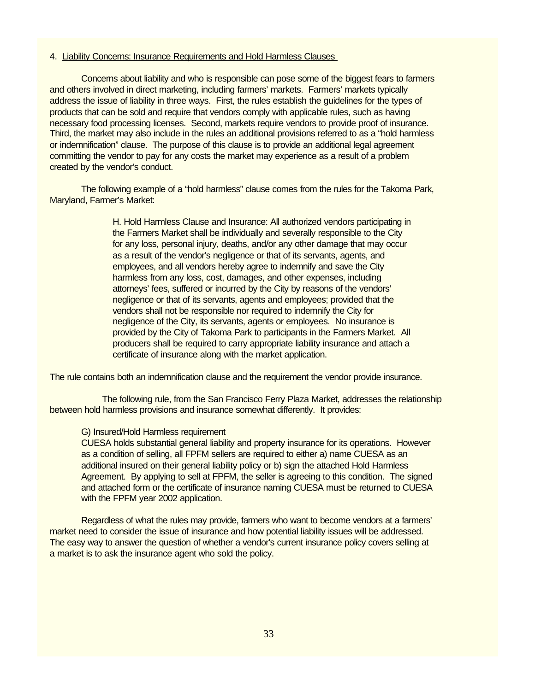#### 4. Liability Concerns: Insurance Requirements and Hold Harmless Clauses

Concerns about liability and who is responsible can pose some of the biggest fears to farmers and others involved in direct marketing, including farmers' markets. Farmers' markets typically address the issue of liability in three ways. First, the rules establish the guidelines for the types of products that can be sold and require that vendors comply with applicable rules, such as having necessary food processing licenses. Second, markets require vendors to provide proof of insurance. Third, the market may also include in the rules an additional provisions referred to as a "hold harmless or indemnification" clause. The purpose of this clause is to provide an additional legal agreement committing the vendor to pay for any costs the market may experience as a result of a problem created by the vendor's conduct.

The following example of a "hold harmless" clause comes from the rules for the Takoma Park, Maryland, Farmer's Market:

> H. Hold Harmless Clause and Insurance: All authorized vendors participating in the Farmers Market shall be individually and severally responsible to the City for any loss, personal injury, deaths, and/or any other damage that may occur as a result of the vendor's negligence or that of its servants, agents, and employees, and all vendors hereby agree to indemnify and save the City harmless from any loss, cost, damages, and other expenses, including attorneys' fees, suffered or incurred by the City by reasons of the vendors' negligence or that of its servants, agents and employees; provided that the vendors shall not be responsible nor required to indemnify the City for negligence of the City, its servants, agents or employees. No insurance is provided by the City of Takoma Park to participants in the Farmers Market. All producers shall be required to carry appropriate liability insurance and attach a certificate of insurance along with the market application.

The rule contains both an indemnification clause and the requirement the vendor provide insurance.

 The following rule, from the San Francisco Ferry Plaza Market, addresses the relationship between hold harmless provisions and insurance somewhat differently. It provides:

#### G) Insured/Hold Harmless requirement

CUESA holds substantial general liability and property insurance for its operations. However as a condition of selling, all FPFM sellers are required to either a) name CUESA as an additional insured on their general liability policy or b) sign the attached Hold Harmless Agreement. By applying to sell at FPFM, the seller is agreeing to this condition. The signed and attached form or the certificate of insurance naming CUESA must be returned to CUESA with the FPFM year 2002 application.

Regardless of what the rules may provide, farmers who want to become vendors at a farmers' market need to consider the issue of insurance and how potential liability issues will be addressed. The easy way to answer the question of whether a vendor's current insurance policy covers selling at a market is to ask the insurance agent who sold the policy.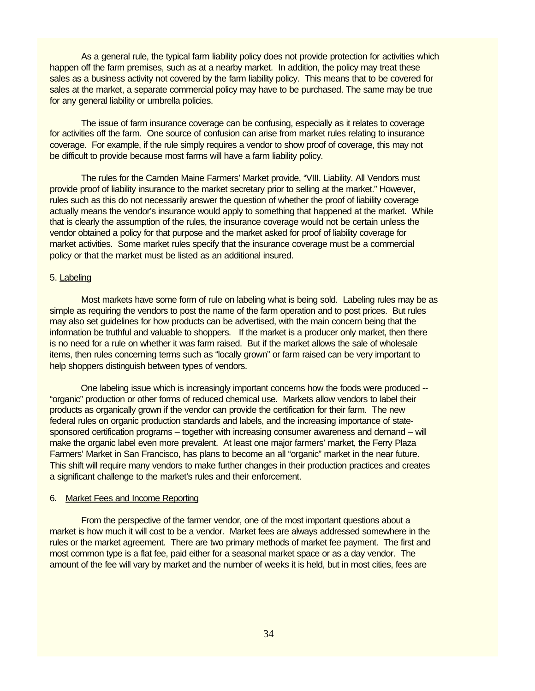As a general rule, the typical farm liability policy does not provide protection for activities which happen off the farm premises, such as at a nearby market. In addition, the policy may treat these sales as a business activity not covered by the farm liability policy. This means that to be covered for sales at the market, a separate commercial policy may have to be purchased. The same may be true for any general liability or umbrella policies.

The issue of farm insurance coverage can be confusing, especially as it relates to coverage for activities off the farm. One source of confusion can arise from market rules relating to insurance coverage. For example, if the rule simply requires a vendor to show proof of coverage, this may not be difficult to provide because most farms will have a farm liability policy.

The rules for the Camden Maine Farmers' Market provide, "VIII. Liability. All Vendors must provide proof of liability insurance to the market secretary prior to selling at the market." However, rules such as this do not necessarily answer the question of whether the proof of liability coverage actually means the vendor's insurance would apply to something that happened at the market. While that is clearly the assumption of the rules, the insurance coverage would not be certain unless the vendor obtained a policy for that purpose and the market asked for proof of liability coverage for market activities. Some market rules specify that the insurance coverage must be a commercial policy or that the market must be listed as an additional insured.

# 5. Labeling

Most markets have some form of rule on labeling what is being sold. Labeling rules may be as simple as requiring the vendors to post the name of the farm operation and to post prices. But rules may also set guidelines for how products can be advertised, with the main concern being that the information be truthful and valuable to shoppers. If the market is a producer only market, then there is no need for a rule on whether it was farm raised. But if the market allows the sale of wholesale items, then rules concerning terms such as "locally grown" or farm raised can be very important to help shoppers distinguish between types of vendors.

 One labeling issue which is increasingly important concerns how the foods were produced -- "organic" production or other forms of reduced chemical use. Markets allow vendors to label their products as organically grown if the vendor can provide the certification for their farm. The new federal rules on organic production standards and labels, and the increasing importance of statesponsored certification programs – together with increasing consumer awareness and demand – will make the organic label even more prevalent. At least one major farmers' market, the Ferry Plaza Farmers' Market in San Francisco, has plans to become an all "organic" market in the near future. This shift will require many vendors to make further changes in their production practices and creates a significant challenge to the market's rules and their enforcement.

#### 6. Market Fees and Income Reporting

From the perspective of the farmer vendor, one of the most important questions about a market is how much it will cost to be a vendor. Market fees are always addressed somewhere in the rules or the market agreement. There are two primary methods of market fee payment. The first and most common type is a flat fee, paid either for a seasonal market space or as a day vendor. The amount of the fee will vary by market and the number of weeks it is held, but in most cities, fees are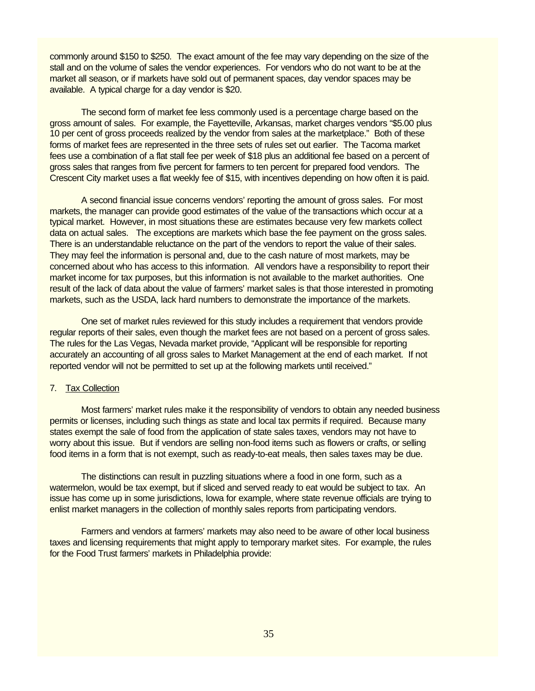commonly around \$150 to \$250. The exact amount of the fee may vary depending on the size of the stall and on the volume of sales the vendor experiences. For vendors who do not want to be at the market all season, or if markets have sold out of permanent spaces, day vendor spaces may be available. A typical charge for a day vendor is \$20.

The second form of market fee less commonly used is a percentage charge based on the gross amount of sales. For example, the Fayetteville, Arkansas, market charges vendors "\$5.00 plus 10 per cent of gross proceeds realized by the vendor from sales at the marketplace." Both of these forms of market fees are represented in the three sets of rules set out earlier. The Tacoma market fees use a combination of a flat stall fee per week of \$18 plus an additional fee based on a percent of gross sales that ranges from five percent for farmers to ten percent for prepared food vendors. The Crescent City market uses a flat weekly fee of \$15, with incentives depending on how often it is paid.

A second financial issue concerns vendors' reporting the amount of gross sales. For most markets, the manager can provide good estimates of the value of the transactions which occur at a typical market. However, in most situations these are estimates because very few markets collect data on actual sales. The exceptions are markets which base the fee payment on the gross sales. There is an understandable reluctance on the part of the vendors to report the value of their sales. They may feel the information is personal and, due to the cash nature of most markets, may be concerned about who has access to this information. All vendors have a responsibility to report their market income for tax purposes, but this information is not available to the market authorities. One result of the lack of data about the value of farmers' market sales is that those interested in promoting markets, such as the USDA, lack hard numbers to demonstrate the importance of the markets.

One set of market rules reviewed for this study includes a requirement that vendors provide regular reports of their sales, even though the market fees are not based on a percent of gross sales. The rules for the Las Vegas, Nevada market provide, "Applicant will be responsible for reporting accurately an accounting of all gross sales to Market Management at the end of each market. If not reported vendor will not be permitted to set up at the following markets until received."

### 7. Tax Collection

Most farmers' market rules make it the responsibility of vendors to obtain any needed business permits or licenses, including such things as state and local tax permits if required. Because many states exempt the sale of food from the application of state sales taxes, vendors may not have to worry about this issue. But if vendors are selling non-food items such as flowers or crafts, or selling food items in a form that is not exempt, such as ready-to-eat meals, then sales taxes may be due.

The distinctions can result in puzzling situations where a food in one form, such as a watermelon, would be tax exempt, but if sliced and served ready to eat would be subject to tax. An issue has come up in some jurisdictions, Iowa for example, where state revenue officials are trying to enlist market managers in the collection of monthly sales reports from participating vendors.

Farmers and vendors at farmers' markets may also need to be aware of other local business taxes and licensing requirements that might apply to temporary market sites. For example, the rules for the Food Trust farmers' markets in Philadelphia provide: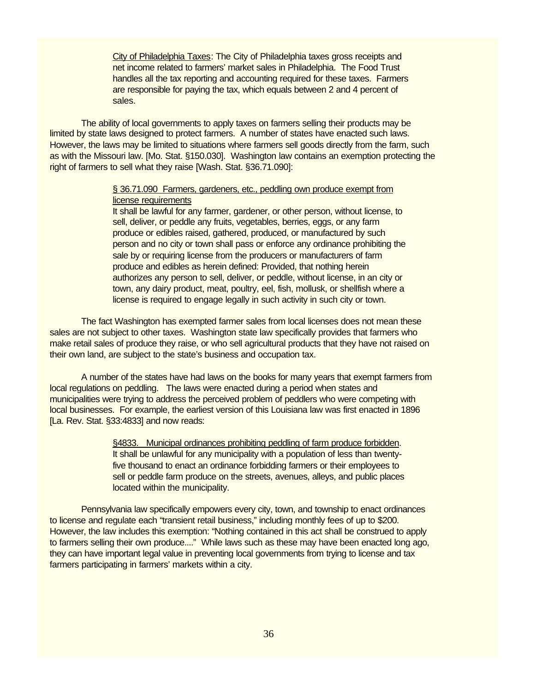City of Philadelphia Taxes: The City of Philadelphia taxes gross receipts and net income related to farmers' market sales in Philadelphia. The Food Trust handles all the tax reporting and accounting required for these taxes. Farmers are responsible for paying the tax, which equals between 2 and 4 percent of sales.

The ability of local governments to apply taxes on farmers selling their products may be limited by state laws designed to protect farmers. A number of states have enacted such laws. However, the laws may be limited to situations where farmers sell goods directly from the farm, such as with the Missouri law. [Mo. Stat. §150.030]. Washington law contains an exemption protecting the right of farmers to sell what they raise [Wash. Stat. §36.71.090]:

# § 36.71.090 Farmers, gardeners, etc., peddling own produce exempt from license requirements

It shall be lawful for any farmer, gardener, or other person, without license, to sell, deliver, or peddle any fruits, vegetables, berries, eggs, or any farm produce or edibles raised, gathered, produced, or manufactured by such person and no city or town shall pass or enforce any ordinance prohibiting the sale by or requiring license from the producers or manufacturers of farm produce and edibles as herein defined: Provided, that nothing herein authorizes any person to sell, deliver, or peddle, without license, in an city or town, any dairy product, meat, poultry, eel, fish, mollusk, or shellfish where a license is required to engage legally in such activity in such city or town.

The fact Washington has exempted farmer sales from local licenses does not mean these sales are not subject to other taxes. Washington state law specifically provides that farmers who make retail sales of produce they raise, or who sell agricultural products that they have not raised on their own land, are subject to the state's business and occupation tax.

A number of the states have had laws on the books for many years that exempt farmers from local regulations on peddling. The laws were enacted during a period when states and municipalities were trying to address the perceived problem of peddlers who were competing with local businesses. For example, the earliest version of this Louisiana law was first enacted in 1896 [La. Rev. Stat. §33:4833] and now reads:

> §4833. Municipal ordinances prohibiting peddling of farm produce forbidden. It shall be unlawful for any municipality with a population of less than twentyfive thousand to enact an ordinance forbidding farmers or their employees to sell or peddle farm produce on the streets, avenues, alleys, and public places located within the municipality.

Pennsylvania law specifically empowers every city, town, and township to enact ordinances to license and regulate each "transient retail business," including monthly fees of up to \$200. However, the law includes this exemption: "Nothing contained in this act shall be construed to apply to farmers selling their own produce...." While laws such as these may have been enacted long ago, they can have important legal value in preventing local governments from trying to license and tax farmers participating in farmers' markets within a city.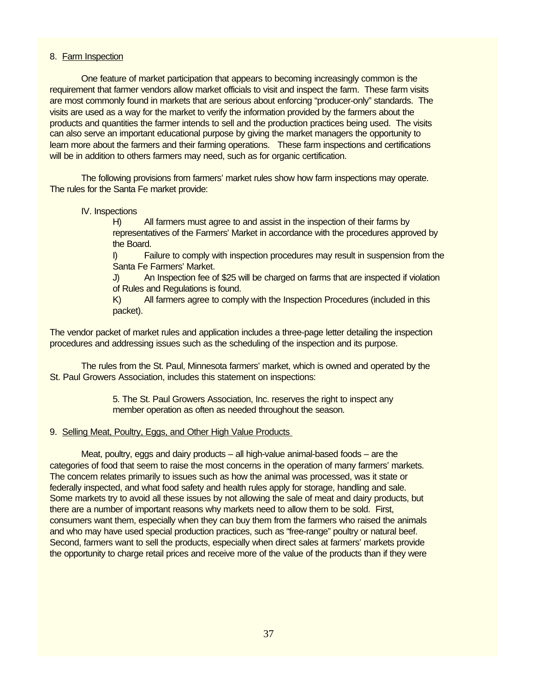### 8. Farm Inspection

One feature of market participation that appears to becoming increasingly common is the requirement that farmer vendors allow market officials to visit and inspect the farm. These farm visits are most commonly found in markets that are serious about enforcing "producer-only" standards. The visits are used as a way for the market to verify the information provided by the farmers about the products and quantities the farmer intends to sell and the production practices being used. The visits can also serve an important educational purpose by giving the market managers the opportunity to learn more about the farmers and their farming operations. These farm inspections and certifications will be in addition to others farmers may need, such as for organic certification.

The following provisions from farmers' market rules show how farm inspections may operate. The rules for the Santa Fe market provide:

### IV. Inspections

H) All farmers must agree to and assist in the inspection of their farms by representatives of the Farmers' Market in accordance with the procedures approved by the Board.

I) Failure to comply with inspection procedures may result in suspension from the Santa Fe Farmers' Market.

J) An Inspection fee of \$25 will be charged on farms that are inspected if violation of Rules and Regulations is found.

K) All farmers agree to comply with the Inspection Procedures (included in this packet).

The vendor packet of market rules and application includes a three-page letter detailing the inspection procedures and addressing issues such as the scheduling of the inspection and its purpose.

The rules from the St. Paul, Minnesota farmers' market, which is owned and operated by the St. Paul Growers Association, includes this statement on inspections:

> 5. The St. Paul Growers Association, Inc. reserves the right to inspect any member operation as often as needed throughout the season.

## 9. Selling Meat, Poultry, Eggs, and Other High Value Products

Meat, poultry, eggs and dairy products – all high-value animal-based foods – are the categories of food that seem to raise the most concerns in the operation of many farmers' markets. The concern relates primarily to issues such as how the animal was processed, was it state or federally inspected, and what food safety and health rules apply for storage, handling and sale. Some markets try to avoid all these issues by not allowing the sale of meat and dairy products, but there are a number of important reasons why markets need to allow them to be sold. First, consumers want them, especially when they can buy them from the farmers who raised the animals and who may have used special production practices, such as "free-range" poultry or natural beef. Second, farmers want to sell the products, especially when direct sales at farmers' markets provide the opportunity to charge retail prices and receive more of the value of the products than if they were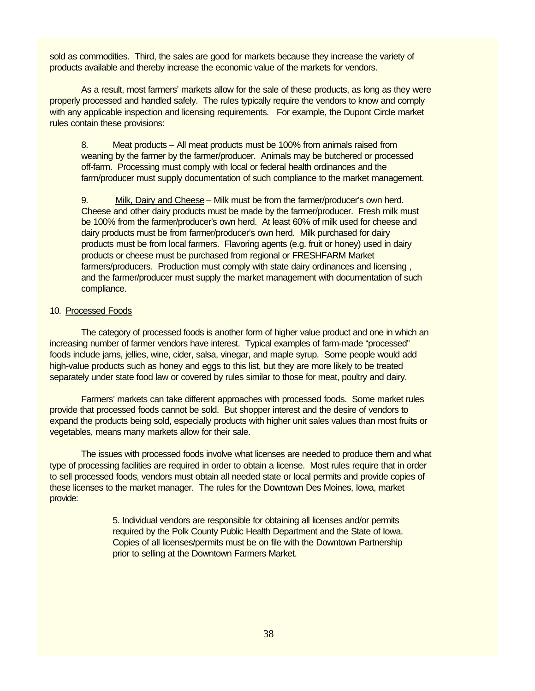sold as commodities. Third, the sales are good for markets because they increase the variety of products available and thereby increase the economic value of the markets for vendors.

As a result, most farmers' markets allow for the sale of these products, as long as they were properly processed and handled safely. The rules typically require the vendors to know and comply with any applicable inspection and licensing requirements. For example, the Dupont Circle market rules contain these provisions:

8. Meat products – All meat products must be 100% from animals raised from weaning by the farmer by the farmer/producer. Animals may be butchered or processed off-farm. Processing must comply with local or federal health ordinances and the farm/producer must supply documentation of such compliance to the market management.

9. Milk, Dairy and Cheese – Milk must be from the farmer/producer's own herd. Cheese and other dairy products must be made by the farmer/producer. Fresh milk must be 100% from the farmer/producer's own herd. At least 60% of milk used for cheese and dairy products must be from farmer/producer's own herd. Milk purchased for dairy products must be from local farmers. Flavoring agents (e.g. fruit or honey) used in dairy products or cheese must be purchased from regional or FRESHFARM Market farmers/producers. Production must comply with state dairy ordinances and licensing , and the farmer/producer must supply the market management with documentation of such compliance.

#### 10. Processed Foods

The category of processed foods is another form of higher value product and one in which an increasing number of farmer vendors have interest. Typical examples of farm-made "processed" foods include jams, jellies, wine, cider, salsa, vinegar, and maple syrup. Some people would add high-value products such as honey and eggs to this list, but they are more likely to be treated separately under state food law or covered by rules similar to those for meat, poultry and dairy.

Farmers' markets can take different approaches with processed foods. Some market rules provide that processed foods cannot be sold. But shopper interest and the desire of vendors to expand the products being sold, especially products with higher unit sales values than most fruits or vegetables, means many markets allow for their sale.

The issues with processed foods involve what licenses are needed to produce them and what type of processing facilities are required in order to obtain a license. Most rules require that in order to sell processed foods, vendors must obtain all needed state or local permits and provide copies of these licenses to the market manager. The rules for the Downtown Des Moines, Iowa, market provide:

> 5. Individual vendors are responsible for obtaining all licenses and/or permits required by the Polk County Public Health Department and the State of Iowa. Copies of all licenses/permits must be on file with the Downtown Partnership prior to selling at the Downtown Farmers Market.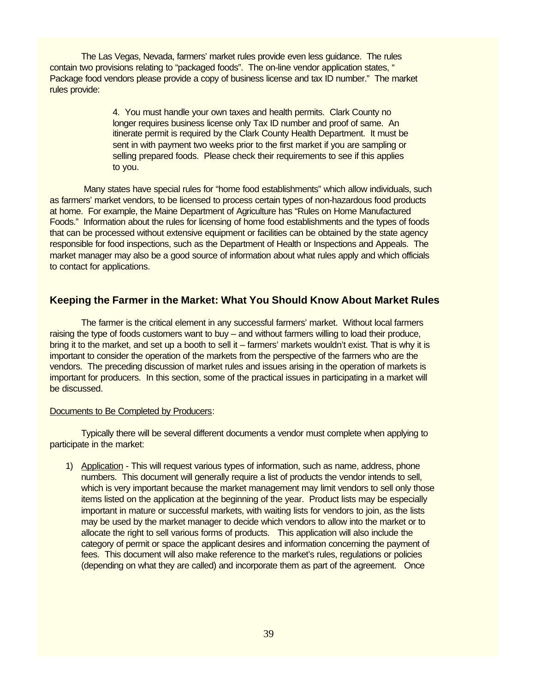The Las Vegas, Nevada, farmers' market rules provide even less guidance. The rules contain two provisions relating to "packaged foods". The on-line vendor application states, " Package food vendors please provide a copy of business license and tax ID number." The market rules provide:

> 4. You must handle your own taxes and health permits. Clark County no longer requires business license only Tax ID number and proof of same. An itinerate permit is required by the Clark County Health Department. It must be sent in with payment two weeks prior to the first market if you are sampling or selling prepared foods. Please check their requirements to see if this applies to you.

 Many states have special rules for "home food establishments" which allow individuals, such as farmers' market vendors, to be licensed to process certain types of non-hazardous food products at home. For example, the Maine Department of Agriculture has "Rules on Home Manufactured Foods." Information about the rules for licensing of home food establishments and the types of foods that can be processed without extensive equipment or facilities can be obtained by the state agency responsible for food inspections, such as the Department of Health or Inspections and Appeals. The market manager may also be a good source of information about what rules apply and which officials to contact for applications.

## **Keeping the Farmer in the Market: What You Should Know About Market Rules**

The farmer is the critical element in any successful farmers' market. Without local farmers raising the type of foods customers want to buy – and without farmers willing to load their produce, bring it to the market, and set up a booth to sell it – farmers' markets wouldn't exist. That is why it is important to consider the operation of the markets from the perspective of the farmers who are the vendors. The preceding discussion of market rules and issues arising in the operation of markets is important for producers. In this section, some of the practical issues in participating in a market will be discussed.

#### Documents to Be Completed by Producers:

Typically there will be several different documents a vendor must complete when applying to participate in the market:

1) Application - This will request various types of information, such as name, address, phone numbers. This document will generally require a list of products the vendor intends to sell, which is very important because the market management may limit vendors to sell only those items listed on the application at the beginning of the year. Product lists may be especially important in mature or successful markets, with waiting lists for vendors to join, as the lists may be used by the market manager to decide which vendors to allow into the market or to allocate the right to sell various forms of products. This application will also include the category of permit or space the applicant desires and information concerning the payment of fees. This document will also make reference to the market's rules, regulations or policies (depending on what they are called) and incorporate them as part of the agreement. Once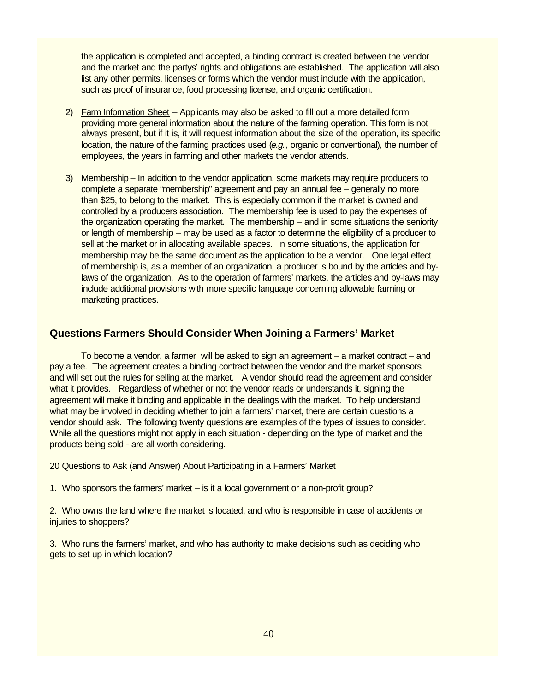the application is completed and accepted, a binding contract is created between the vendor and the market and the partys' rights and obligations are established. The application will also list any other permits, licenses or forms which the vendor must include with the application, such as proof of insurance, food processing license, and organic certification.

- 2) Farm Information Sheet Applicants may also be asked to fill out a more detailed form providing more general information about the nature of the farming operation. This form is not always present, but if it is, it will request information about the size of the operation, its specific location, the nature of the farming practices used (*e.g.*, organic or conventional), the number of employees, the years in farming and other markets the vendor attends.
- 3) Membership In addition to the vendor application, some markets may require producers to complete a separate "membership" agreement and pay an annual fee – generally no more than \$25, to belong to the market. This is especially common if the market is owned and controlled by a producers association. The membership fee is used to pay the expenses of the organization operating the market. The membership – and in some situations the seniority or length of membership – may be used as a factor to determine the eligibility of a producer to sell at the market or in allocating available spaces. In some situations, the application for membership may be the same document as the application to be a vendor. One legal effect of membership is, as a member of an organization, a producer is bound by the articles and bylaws of the organization. As to the operation of farmers' markets, the articles and by-laws may include additional provisions with more specific language concerning allowable farming or marketing practices.

# **Questions Farmers Should Consider When Joining a Farmers' Market**

To become a vendor, a farmer will be asked to sign an agreement – a market contract – and pay a fee. The agreement creates a binding contract between the vendor and the market sponsors and will set out the rules for selling at the market. A vendor should read the agreement and consider what it provides. Regardless of whether or not the vendor reads or understands it, signing the agreement will make it binding and applicable in the dealings with the market. To help understand what may be involved in deciding whether to join a farmers' market, there are certain questions a vendor should ask. The following twenty questions are examples of the types of issues to consider. While all the questions might not apply in each situation - depending on the type of market and the products being sold - are all worth considering.

20 Questions to Ask (and Answer) About Participating in a Farmers' Market

1. Who sponsors the farmers' market – is it a local government or a non-profit group?

2. Who owns the land where the market is located, and who is responsible in case of accidents or injuries to shoppers?

3. Who runs the farmers' market, and who has authority to make decisions such as deciding who gets to set up in which location?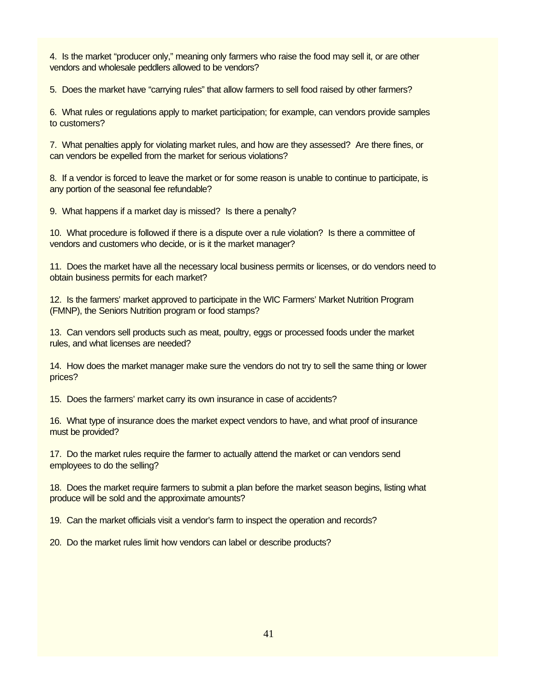4. Is the market "producer only," meaning only farmers who raise the food may sell it, or are other vendors and wholesale peddlers allowed to be vendors?

5. Does the market have "carrying rules" that allow farmers to sell food raised by other farmers?

6. What rules or regulations apply to market participation; for example, can vendors provide samples to customers?

7. What penalties apply for violating market rules, and how are they assessed? Are there fines, or can vendors be expelled from the market for serious violations?

8. If a vendor is forced to leave the market or for some reason is unable to continue to participate, is any portion of the seasonal fee refundable?

9. What happens if a market day is missed? Is there a penalty?

10. What procedure is followed if there is a dispute over a rule violation? Is there a committee of vendors and customers who decide, or is it the market manager?

11. Does the market have all the necessary local business permits or licenses, or do vendors need to obtain business permits for each market?

12. Is the farmers' market approved to participate in the WIC Farmers' Market Nutrition Program (FMNP), the Seniors Nutrition program or food stamps?

13. Can vendors sell products such as meat, poultry, eggs or processed foods under the market rules, and what licenses are needed?

14. How does the market manager make sure the vendors do not try to sell the same thing or lower prices?

15. Does the farmers' market carry its own insurance in case of accidents?

16. What type of insurance does the market expect vendors to have, and what proof of insurance must be provided?

17. Do the market rules require the farmer to actually attend the market or can vendors send employees to do the selling?

18. Does the market require farmers to submit a plan before the market season begins, listing what produce will be sold and the approximate amounts?

19. Can the market officials visit a vendor's farm to inspect the operation and records?

20. Do the market rules limit how vendors can label or describe products?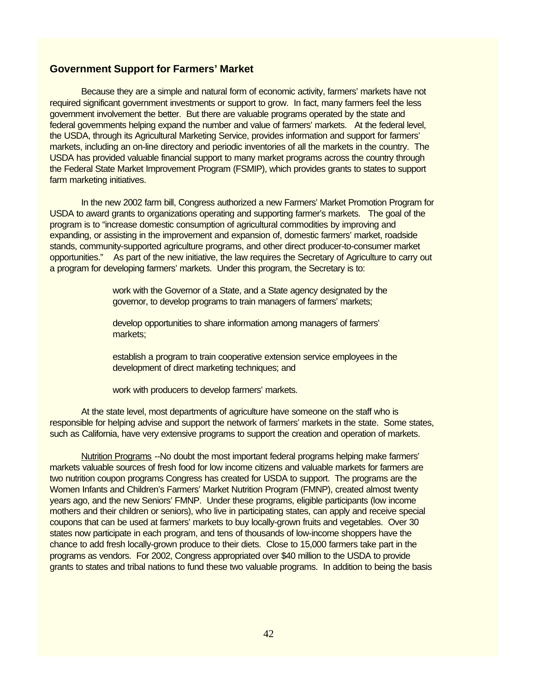# **Government Support for Farmers' Market**

Because they are a simple and natural form of economic activity, farmers' markets have not required significant government investments or support to grow. In fact, many farmers feel the less government involvement the better. But there are valuable programs operated by the state and federal governments helping expand the number and value of farmers' markets. At the federal level, the USDA, through its Agricultural Marketing Service, provides information and support for farmers' markets, including an on-line directory and periodic inventories of all the markets in the country. The USDA has provided valuable financial support to many market programs across the country through the Federal State Market Improvement Program (FSMIP), which provides grants to states to support farm marketing initiatives.

In the new 2002 farm bill, Congress authorized a new Farmers' Market Promotion Program for USDA to award grants to organizations operating and supporting farmer's markets. The goal of the program is to "increase domestic consumption of agricultural commodities by improving and expanding, or assisting in the improvement and expansion of, domestic farmers' market, roadside stands, community-supported agriculture programs, and other direct producer-to-consumer market opportunities." As part of the new initiative, the law requires the Secretary of Agriculture to carry out a program for developing farmers' markets. Under this program, the Secretary is to:

> work with the Governor of a State, and a State agency designated by the governor, to develop programs to train managers of farmers' markets;

develop opportunities to share information among managers of farmers' markets;

establish a program to train cooperative extension service employees in the development of direct marketing techniques; and

work with producers to develop farmers' markets.

At the state level, most departments of agriculture have someone on the staff who is responsible for helping advise and support the network of farmers' markets in the state. Some states, such as California, have very extensive programs to support the creation and operation of markets.

Nutrition Programs --No doubt the most important federal programs helping make farmers' markets valuable sources of fresh food for low income citizens and valuable markets for farmers are two nutrition coupon programs Congress has created for USDA to support. The programs are the Women Infants and Children's Farmers' Market Nutrition Program (FMNP), created almost twenty years ago, and the new Seniors' FMNP. Under these programs, eligible participants (low income mothers and their children or seniors), who live in participating states, can apply and receive special coupons that can be used at farmers' markets to buy locally-grown fruits and vegetables. Over 30 states now participate in each program, and tens of thousands of low-income shoppers have the chance to add fresh locally-grown produce to their diets. Close to 15,000 farmers take part in the programs as vendors. For 2002, Congress appropriated over \$40 million to the USDA to provide grants to states and tribal nations to fund these two valuable programs. In addition to being the basis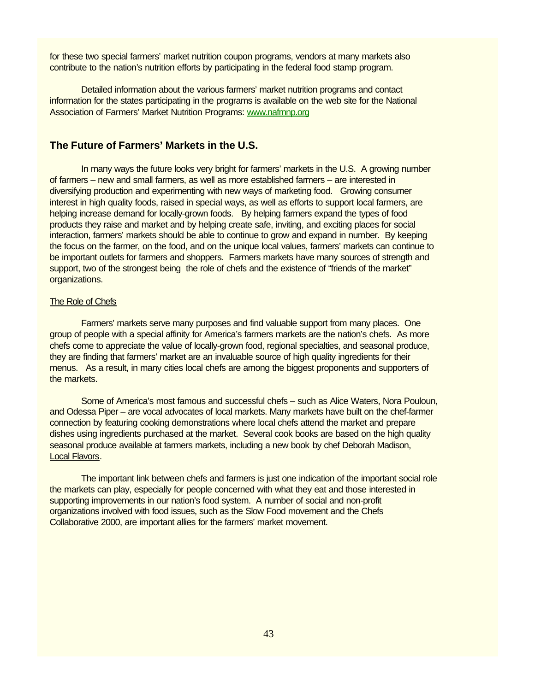for these two special farmers' market nutrition coupon programs, vendors at many markets also contribute to the nation's nutrition efforts by participating in the federal food stamp program.

Detailed information about the various farmers' market nutrition programs and contact information for the states participating in the programs is available on the web site for the National Association of Farmers' Market Nutrition Programs: www.nafmnp.org

# **The Future of Farmers' Markets in the U.S.**

In many ways the future looks very bright for farmers' markets in the U.S. A growing number of farmers – new and small farmers, as well as more established farmers – are interested in diversifying production and experimenting with new ways of marketing food. Growing consumer interest in high quality foods, raised in special ways, as well as efforts to support local farmers, are helping increase demand for locally-grown foods. By helping farmers expand the types of food products they raise and market and by helping create safe, inviting, and exciting places for social interaction, farmers' markets should be able to continue to grow and expand in number. By keeping the focus on the farmer, on the food, and on the unique local values, farmers' markets can continue to be important outlets for farmers and shoppers. Farmers markets have many sources of strength and support, two of the strongest being the role of chefs and the existence of "friends of the market" organizations.

## The Role of Chefs

Farmers' markets serve many purposes and find valuable support from many places. One group of people with a special affinity for America's farmers markets are the nation's chefs. As more chefs come to appreciate the value of locally-grown food, regional specialties, and seasonal produce, they are finding that farmers' market are an invaluable source of high quality ingredients for their menus. As a result, in many cities local chefs are among the biggest proponents and supporters of the markets.

Some of America's most famous and successful chefs – such as Alice Waters, Nora Pouloun, and Odessa Piper – are vocal advocates of local markets. Many markets have built on the chef-farmer connection by featuring cooking demonstrations where local chefs attend the market and prepare dishes using ingredients purchased at the market. Several cook books are based on the high quality seasonal produce available at farmers markets, including a new book by chef Deborah Madison, Local Flavors.

The important link between chefs and farmers is just one indication of the important social role the markets can play, especially for people concerned with what they eat and those interested in supporting improvements in our nation's food system. A number of social and non-profit organizations involved with food issues, such as the Slow Food movement and the Chefs Collaborative 2000, are important allies for the farmers' market movement.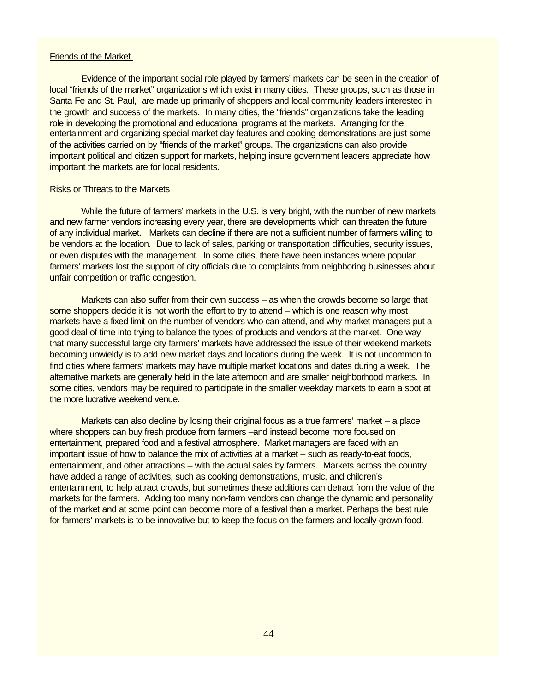#### Friends of the Market

Evidence of the important social role played by farmers' markets can be seen in the creation of local "friends of the market" organizations which exist in many cities. These groups, such as those in Santa Fe and St. Paul, are made up primarily of shoppers and local community leaders interested in the growth and success of the markets. In many cities, the "friends" organizations take the leading role in developing the promotional and educational programs at the markets. Arranging for the entertainment and organizing special market day features and cooking demonstrations are just some of the activities carried on by "friends of the market" groups. The organizations can also provide important political and citizen support for markets, helping insure government leaders appreciate how important the markets are for local residents.

### Risks or Threats to the Markets

While the future of farmers' markets in the U.S. is very bright, with the number of new markets and new farmer vendors increasing every year, there are developments which can threaten the future of any individual market. Markets can decline if there are not a sufficient number of farmers willing to be vendors at the location. Due to lack of sales, parking or transportation difficulties, security issues, or even disputes with the management. In some cities, there have been instances where popular farmers' markets lost the support of city officials due to complaints from neighboring businesses about unfair competition or traffic congestion.

Markets can also suffer from their own success – as when the crowds become so large that some shoppers decide it is not worth the effort to try to attend – which is one reason why most markets have a fixed limit on the number of vendors who can attend, and why market managers put a good deal of time into trying to balance the types of products and vendors at the market. One way that many successful large city farmers' markets have addressed the issue of their weekend markets becoming unwieldy is to add new market days and locations during the week. It is not uncommon to find cities where farmers' markets may have multiple market locations and dates during a week. The alternative markets are generally held in the late afternoon and are smaller neighborhood markets. In some cities, vendors may be required to participate in the smaller weekday markets to earn a spot at the more lucrative weekend venue.

Markets can also decline by losing their original focus as a true farmers' market – a place where shoppers can buy fresh produce from farmers –and instead become more focused on entertainment, prepared food and a festival atmosphere. Market managers are faced with an important issue of how to balance the mix of activities at a market – such as ready-to-eat foods, entertainment, and other attractions – with the actual sales by farmers. Markets across the country have added a range of activities, such as cooking demonstrations, music, and children's entertainment, to help attract crowds, but sometimes these additions can detract from the value of the markets for the farmers. Adding too many non-farm vendors can change the dynamic and personality of the market and at some point can become more of a festival than a market. Perhaps the best rule for farmers' markets is to be innovative but to keep the focus on the farmers and locally-grown food.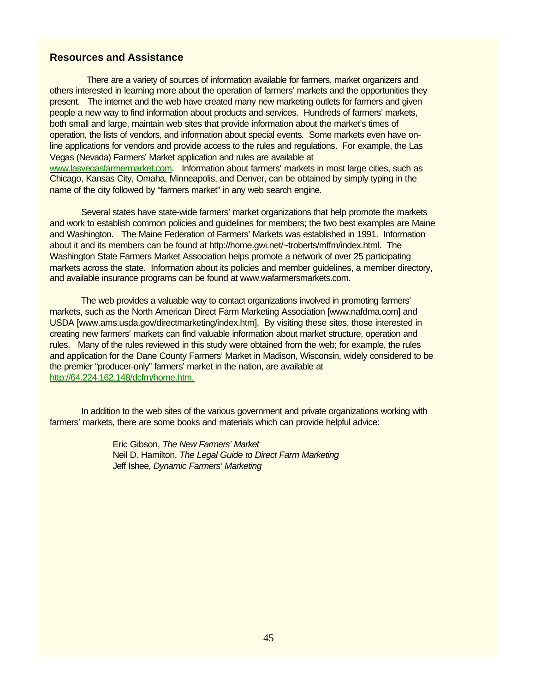# **Resources and Assistance**

 There are a variety of sources of information available for farmers, market organizers and others interested in learning more about the operation of farmers' markets and the opportunities they present. The internet and the web have created many new marketing outlets for farmers and given people a new way to find information about products and services. Hundreds of farmers' markets, both small and large, maintain web sites that provide information about the market's times of operation, the lists of vendors, and information about special events. Some markets even have online applications for vendors and provide access to the rules and regulations. For example, the Las Vegas (Nevada) Farmers' Market application and rules are available at www.lasvegasfarmermarket.com. Information about farmers' markets in most large cities, such as Chicago, Kansas City, Omaha, Minneapolis, and Denver, can be obtained by simply typing in the name of the city followed by "farmers market" in any web search engine.

Several states have state-wide farmers' market organizations that help promote the markets and work to establish common policies and guidelines for members; the two best examples are Maine and Washington. The Maine Federation of Farmers' Markets was established in 1991. Information about it and its members can be found at http://home.gwi.net/~troberts/mffm/index.html. The Washington State Farmers Market Association helps promote a network of over 25 participating markets across the state. Information about its policies and member guidelines, a member directory, and available insurance programs can be found at www.wafarmersmarkets.com.

The web provides a valuable way to contact organizations involved in promoting farmers' markets, such as the North American Direct Farm Marketing Association [www.nafdma.com] and USDA [www.ams.usda.gov/directmarketing/index.htm]. By visiting these sites, those interested in creating new farmers' markets can find valuable information about market structure, operation and rules. Many of the rules reviewed in this study were obtained from the web; for example, the rules and application for the Dane County Farmers' Market in Madison, Wisconsin, widely considered to be the premier "producer-only" farmers' market in the nation, are available at http://64.224.162.148/dcfm/home.htm.

In addition to the web sites of the various government and private organizations working with farmers' markets, there are some books and materials which can provide helpful advice:

> Eric Gibson, *The New Farmers' Market* Neil D. Hamilton, *The Legal Guide to Direct Farm Marketing* Jeff Ishee, *Dynamic Farmers' Marketing*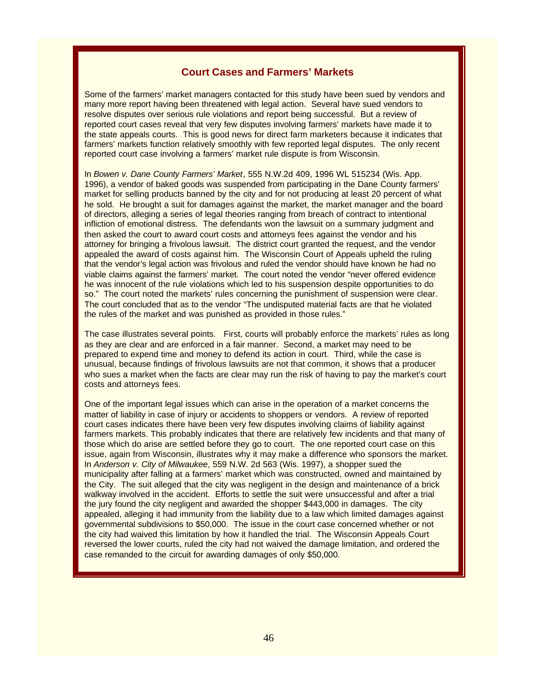# **Court Cases and Farmers' Markets**

Some of the farmers' market managers contacted for this study have been sued by vendors and many more report having been threatened with legal action. Several have sued vendors to resolve disputes over serious rule violations and report being successful. But a review of reported court cases reveal that very few disputes involving farmers' markets have made it to the state appeals courts. This is good news for direct farm marketers because it indicates that farmers' markets function relatively smoothly with few reported legal disputes. The only recent reported court case involving a farmers' market rule dispute is from Wisconsin.

In *Bowen v. Dane County Farmers' Market*, 555 N.W.2d 409, 1996 WL 515234 (Wis. App. 1996), a vendor of baked goods was suspended from participating in the Dane County farmers' market for selling products banned by the city and for not producing at least 20 percent of what he sold. He brought a suit for damages against the market, the market manager and the board of directors, alleging a series of legal theories ranging from breach of contract to intentional infliction of emotional distress. The defendants won the lawsuit on a summary judgment and then asked the court to award court costs and attorneys fees against the vendor and his attorney for bringing a frivolous lawsuit. The district court granted the request, and the vendor appealed the award of costs against him. The Wisconsin Court of Appeals upheld the ruling that the vendor's legal action was frivolous and ruled the vendor should have known he had no viable claims against the farmers' market. The court noted the vendor "never offered evidence he was innocent of the rule violations which led to his suspension despite opportunities to do so." The court noted the markets' rules concerning the punishment of suspension were clear. The court concluded that as to the vendor "The undisputed material facts are that he violated the rules of the market and was punished as provided in those rules."

The case illustrates several points. First, courts will probably enforce the markets' rules as long as they are clear and are enforced in a fair manner. Second, a market may need to be prepared to expend time and money to defend its action in court. Third, while the case is unusual, because findings of frivolous lawsuits are not that common, it shows that a producer who sues a market when the facts are clear may run the risk of having to pay the market's court costs and attorneys fees.

One of the important legal issues which can arise in the operation of a market concerns the matter of liability in case of injury or accidents to shoppers or vendors. A review of reported court cases indicates there have been very few disputes involving claims of liability against farmers markets. This probably indicates that there are relatively few incidents and that many of those which do arise are settled before they go to court. The one reported court case on this issue, again from Wisconsin, illustrates why it may make a difference who sponsors the market. In *Anderson v. City of Milwaukee*, 559 N.W. 2d 563 (Wis. 1997), a shopper sued the municipality after falling at a farmers' market which was constructed, owned and maintained by the City. The suit alleged that the city was negligent in the design and maintenance of a brick walkway involved in the accident. Efforts to settle the suit were unsuccessful and after a trial the jury found the city negligent and awarded the shopper \$443,000 in damages. The city appealed, alleging it had immunity from the liability due to a law which limited damages against governmental subdivisions to \$50,000. The issue in the court case concerned whether or not the city had waived this limitation by how it handled the trial. The Wisconsin Appeals Court reversed the lower courts, ruled the city had not waived the damage limitation, and ordered the case remanded to the circuit for awarding damages of only \$50,000.